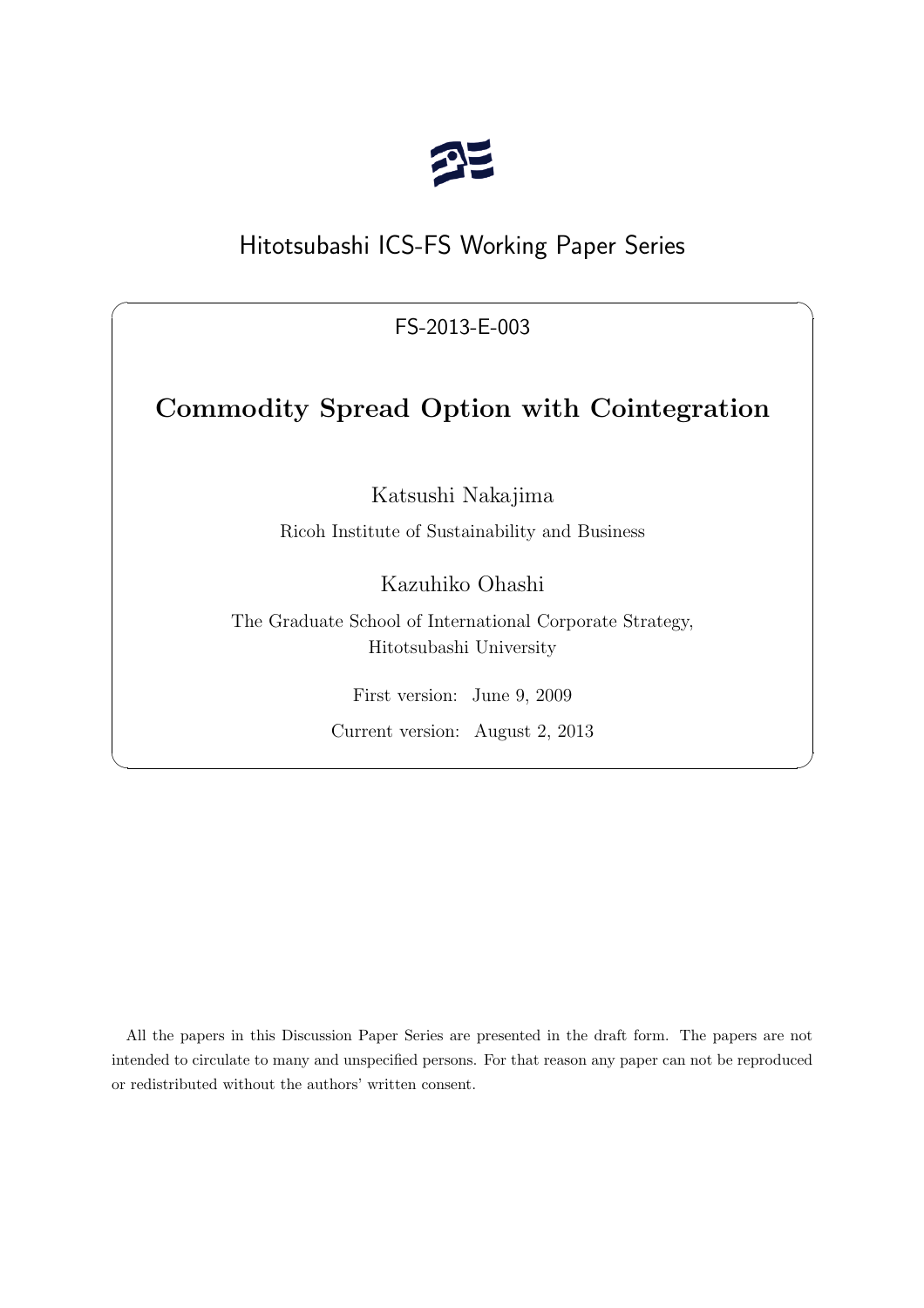

# Hitotsubashi ICS-FS Working Paper Series

FS-2013-E-003

 $\sqrt{2\pi}$ 

# **Commodity Spread Option with Cointegration**

Katsushi Nakajima

Ricoh Institute of Sustainability and Business

Kazuhiko Ohashi

The Graduate School of International Corporate Strategy, Hitotsubashi University

First version: June 9, 2009

Current version: August 2, 2013

 $\qquad \qquad \qquad \Box$ 

All the papers in this Discussion Paper Series are presented in the draft form. The papers are not intended to circulate to many and unspecified persons. For that reason any paper can not be reproduced or redistributed without the authors' written consent.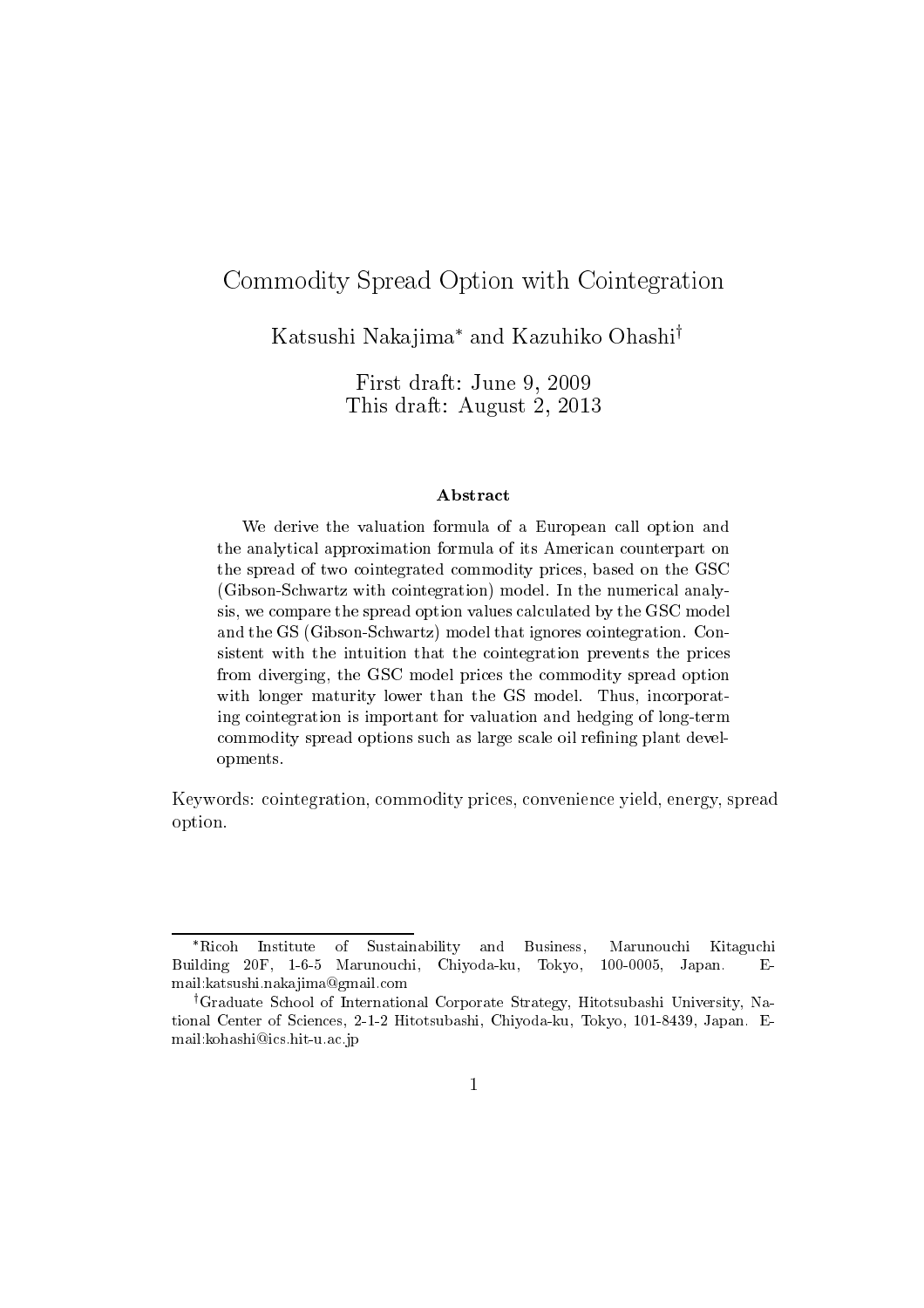# Commodity Spread Option with Cointegration

Katsushi Nakajima\* and Kazuhiko Ohashi<sup>†</sup>

First draft: June 9, 2009 This draft: August 2, 2013

## Abstract

We derive the valuation formula of a European call option and the analytical approximation formula of its American counterpart on the spread of two cointegrated commodity prices, based on the GSC (Gibson-Schwartz with cointegration) model. In the numerical analysis, we compare the spread option values calculated by the GSC model and the GS (Gibson-Schwartz) model that ignores cointegration. Consistent with the intuition that the cointegration prevents the prices from diverging, the GSC model prices the commodity spread option with longer maturity lower than the GS model. Thus, incorporating cointegration is important for valuation and hedging of long-term commodity spread options such as large scale oil refining plant developments.

Keywords: cointegration, commodity prices, convenience yield, energy, spread option.

<sup>\*</sup>Ricoh Institute  $\sigma$ f Sustainability and Business. Marunouchi Kitaguchi Building 20F, 1-6-5 Marunouchi, Chiyoda-ku, Tokyo, 100-0005, Japan.  $E$ mail:katsushi.nakajima@gmail.com

<sup>&</sup>lt;sup>†</sup>Graduate School of International Corporate Strategy, Hitotsubashi University, National Center of Sciences, 2-1-2 Hitotsubashi, Chiyoda-ku, Tokyo, 101-8439, Japan. Email: kohashi@ics.hit-u.ac.jp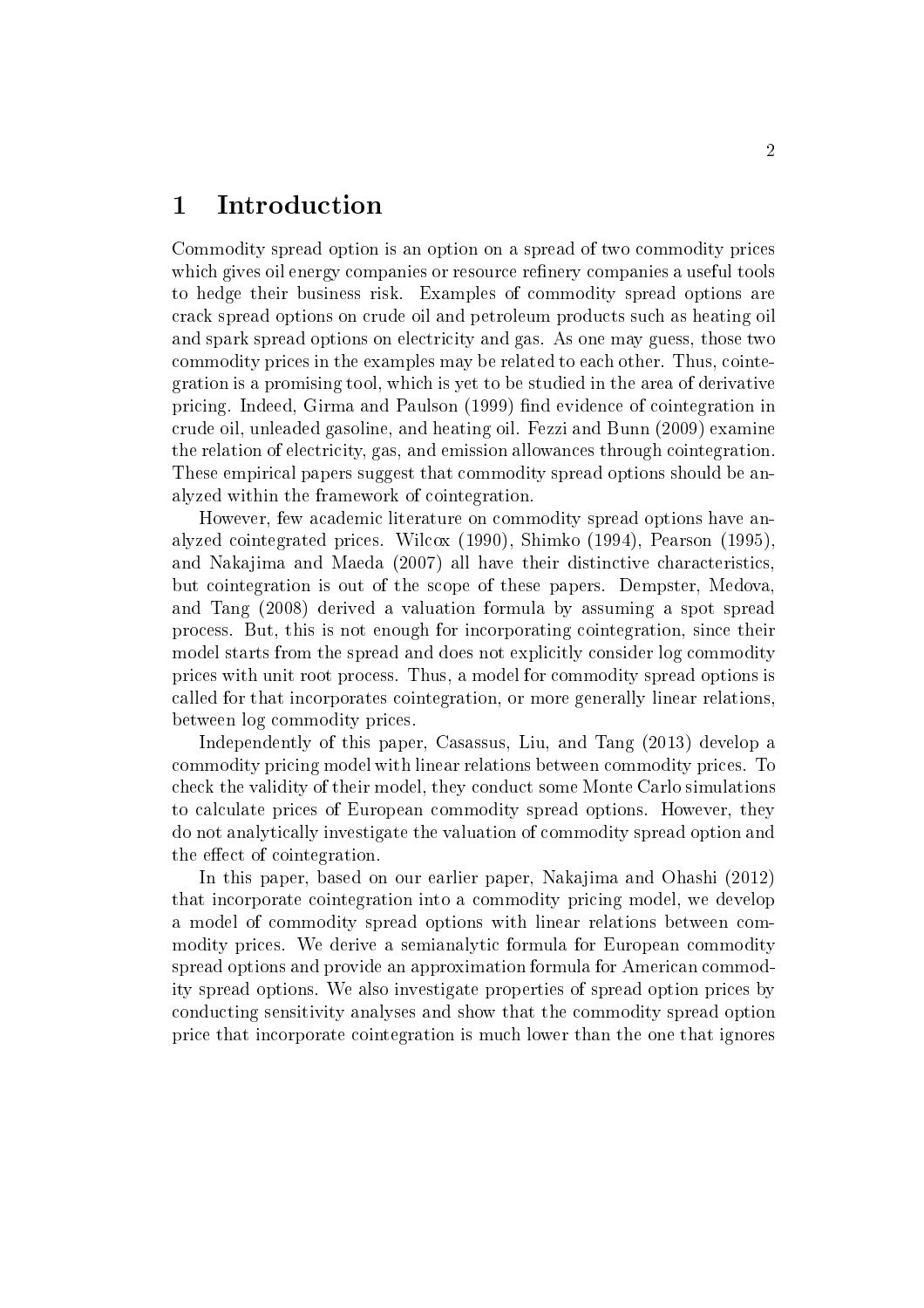#### $\mathbf 1$ Introduction

Commodity spread option is an option on a spread of two commodity prices which gives oil energy companies or resource refinery companies a useful tools to hedge their business risk. Examples of commodity spread options are crack spread options on crude oil and petroleum products such as heating oil and spark spread options on electricity and gas. As one may guess, those two commodity prices in the examples may be related to each other. Thus, cointegration is a promising tool, which is yet to be studied in the area of derivative pricing. Indeed, Girma and Paulson (1999) find evidence of cointegration in crude oil, unleaded gasoline, and heating oil. Fezzi and Bunn (2009) examine the relation of electricity, gas, and emission allowances through cointegration. These empirical papers suggest that commodity spread options should be analyzed within the framework of cointegration.

However, few academic literature on commodity spread options have analyzed cointegrated prices. Wilcox (1990), Shimko (1994), Pearson (1995). and Nakajima and Maeda (2007) all have their distinctive characteristics, but cointegration is out of the scope of these papers. Dempster, Medova, and Tang (2008) derived a valuation formula by assuming a spot spread process. But, this is not enough for incorporating cointegration, since their model starts from the spread and does not explicitly consider log commodity prices with unit root process. Thus, a model for commodity spread options is called for that incorporates cointegration, or more generally linear relations, between  $log$  commodity prices.

Independently of this paper, Casassus, Liu, and Tang (2013) develop a commodity pricing model with linear relations between commodity prices. To check the validity of their model, they conduct some Monte Carlo simulations to calculate prices of European commodity spread options. However, they do not analytically investigate the valuation of commodity spread option and the effect of cointegration.

In this paper, based on our earlier paper, Nakajima and Ohashi (2012) that incorporate cointegration into a commodity pricing model, we develop a model of commodity spread options with linear relations between commodity prices. We derive a semianalytic formula for European commodity spread options and provide an approximation formula for American commodity spread options. We also investigate properties of spread option prices by conducting sensitivity analyses and show that the commodity spread option price that incorporate cointegration is much lower than the one that ignores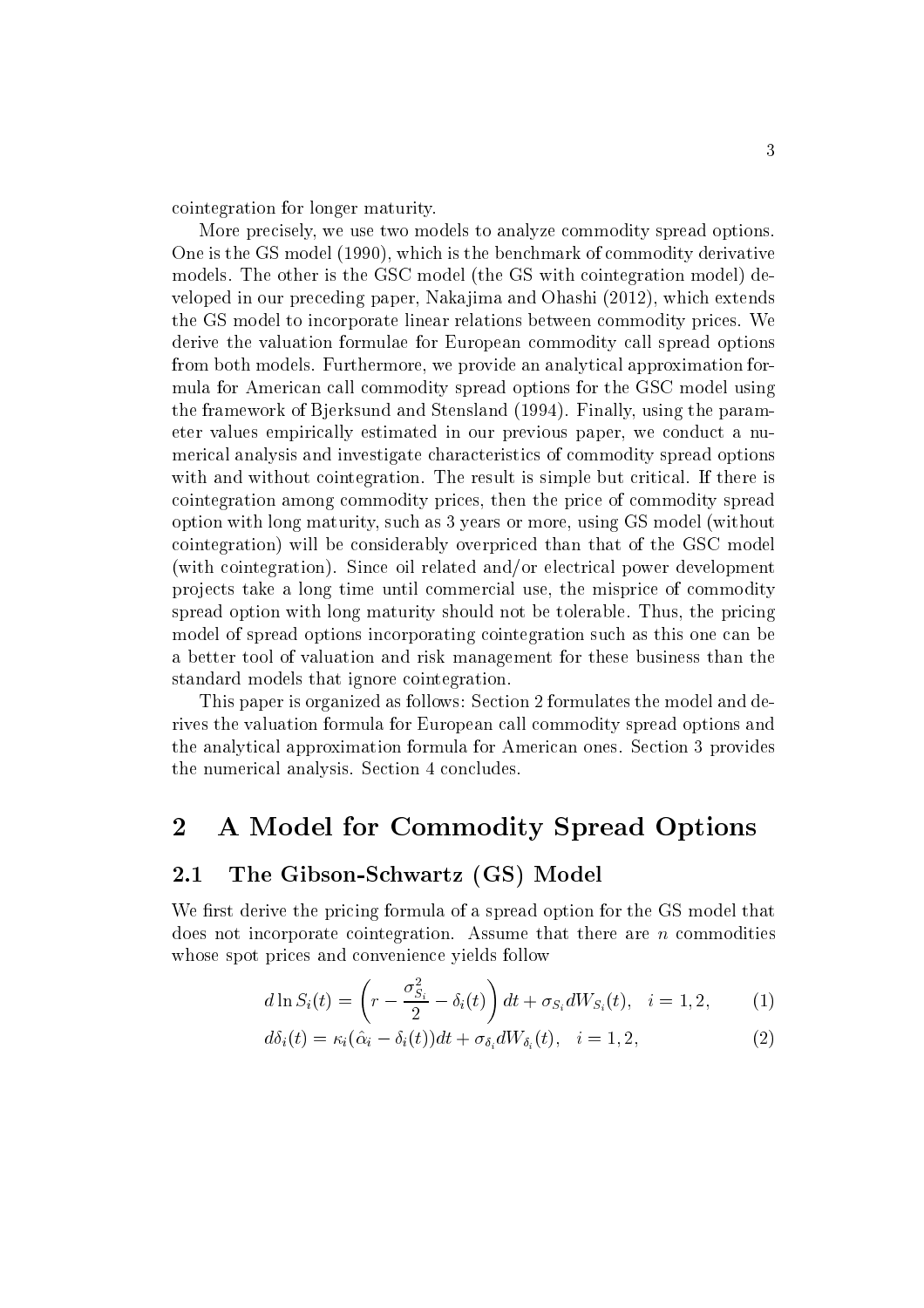cointegration for longer maturity.

More precisely, we use two models to analyze commodity spread options. One is the GS model (1990), which is the benchmark of commodity derivative models. The other is the GSC model (the GS with cointegration model) developed in our preceding paper, Nakajima and Ohashi (2012), which extends the GS model to incorporate linear relations between commodity prices. We derive the valuation formulae for European commodity call spread options from both models. Furthermore, we provide an analytical approximation formula for American call commodity spread options for the GSC model using the framework of Bjerksund and Stensland (1994). Finally, using the parameter values empirically estimated in our previous paper, we conduct a numerical analysis and investigate characteristics of commodity spread options with and without cointegration. The result is simple but critical. If there is cointegration among commodity prices, then the price of commodity spread option with long maturity, such as 3 years or more, using GS model (without cointegration) will be considerably overpriced than that of the GSC model (with cointegration). Since oil related and/or electrical power development projects take a long time until commercial use, the misprice of commodity spread option with long maturity should not be tolerable. Thus, the pricing model of spread options incorporating cointegration such as this one can be a better tool of valuation and risk management for these business than the standard models that ignore cointegration.

This paper is organized as follows: Section 2 formulates the model and derives the valuation formula for European call commodity spread options and the analytical approximation formula for American ones. Section 3 provides the numerical analysis. Section 4 concludes.

#### $\overline{2}$ A Model for Commodity Spread Options

#### The Gibson-Schwartz (GS) Model  $2.1$

We first derive the pricing formula of a spread option for the GS model that does not incorporate cointegration. Assume that there are  $n$  commodities whose spot prices and convenience yields follow

$$
d \ln S_i(t) = \left(r - \frac{\sigma_{S_i}^2}{2} - \delta_i(t)\right) dt + \sigma_{S_i} dW_{S_i}(t), \quad i = 1, 2, \tag{1}
$$

$$
d\delta_i(t) = \kappa_i(\hat{\alpha}_i - \delta_i(t))dt + \sigma_{\delta_i}dW_{\delta_i}(t), \quad i = 1, 2,
$$
\n(2)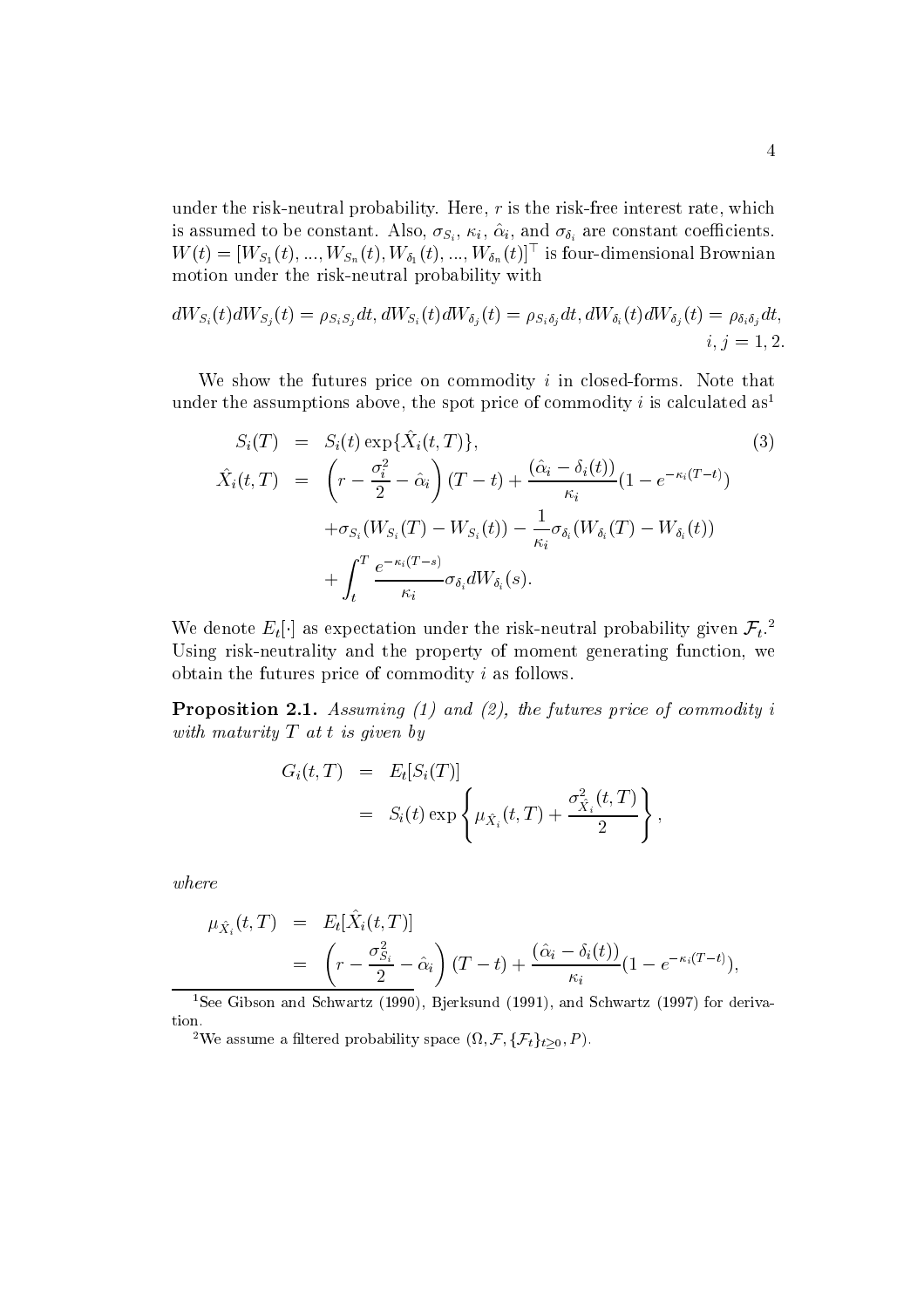under the risk-neutral probability. Here,  $r$  is the risk-free interest rate, which is assumed to be constant. Also,  $\sigma_{S_i}$ ,  $\kappa_i$ ,  $\hat{\alpha}_i$ , and  $\sigma_{\delta_i}$  are constant coefficients.  $W(t) = [W_{S_1}(t), ..., W_{S_n}(t), W_{\delta_1}(t), ..., W_{\delta_n}(t)]^{\top}$  is four-dimensional Brownian motion under the risk-neutral probability with

$$
dW_{S_i}(t)dW_{S_j}(t) = \rho_{S_iS_j}dt, dW_{S_i}(t)dW_{\delta_j}(t) = \rho_{S_i\delta_j}dt, dW_{\delta_i}(t)dW_{\delta_j}(t) = \rho_{\delta_i\delta_j}dt, \quad i, j = 1, 2
$$

We show the futures price on commodity  $i$  in closed-forms. Note that under the assumptions above, the spot price of commodity i is calculated as<sup>1</sup>

$$
S_i(T) = S_i(t) \exp{\{\hat{X}_i(t,T)\}},
$$
\n
$$
\hat{X}_i(t,T) = \left(r - \frac{\sigma_i^2}{2} - \hat{\alpha}_i\right)(T-t) + \frac{(\hat{\alpha}_i - \delta_i(t))}{\kappa_i}(1 - e^{-\kappa_i(T-t)}) + \sigma_{S_i}(W_{S_i}(T) - W_{S_i}(t)) - \frac{1}{\kappa_i}\sigma_{\delta_i}(W_{\delta_i}(T) - W_{\delta_i}(t)) + \int_t^T \frac{e^{-\kappa_i(T-s)}}{\kappa_i} \sigma_{\delta_i}dW_{\delta_i}(s).
$$
\n(3)

We denote  $E_t[\cdot]$  as expectation under the risk-neutral probability given  $\mathcal{F}_t$ . Using risk-neutrality and the property of moment generating function, we obtain the futures price of commodity  $i$  as follows.

**Proposition 2.1.** Assuming (1) and (2), the futures price of commodity i with maturity  $T$  at t is given by

$$
G_i(t,T) = E_t[S_i(T)]
$$
  
=  $S_i(t) \exp \left\{ \mu_{\hat{X}_i}(t,T) + \frac{\sigma_{\hat{X}_i}^2(t,T)}{2} \right\},$ 

 $where$ 

$$
\mu_{\hat{X}_i}(t,T) = E_t[\hat{X}_i(t,T)]
$$
  
= 
$$
\left(r - \frac{\sigma_{S_i}^2}{2} - \hat{\alpha}_i\right)(T-t) + \frac{(\hat{\alpha}_i - \delta_i(t))}{\kappa_i}(1 - e^{-\kappa_i(T-t)}).
$$

<sup>1</sup>See Gibson and Schwartz (1990), Bjerksund (1991), and Schwartz (1997) for deriva- $\,$ tion.

<sup>&</sup>lt;sup>2</sup>We assume a filtered probability space  $(\Omega, \mathcal{F}, \{\mathcal{F}_t\}_{t\geq 0}, P)$ .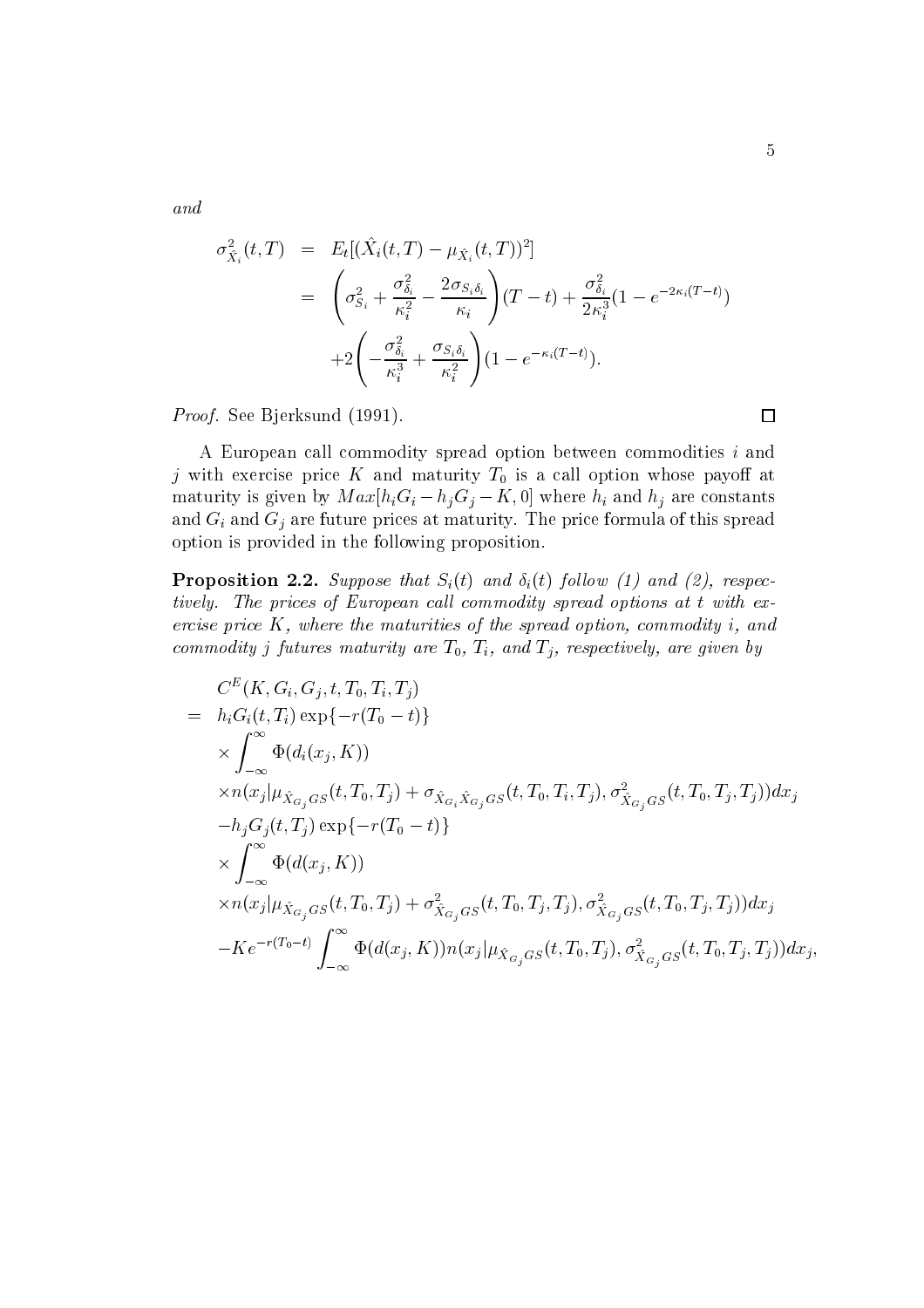and

$$
\sigma_{\hat{X}_i}^2(t,T) = E_t[(\hat{X}_i(t,T) - \mu_{\hat{X}_i}(t,T))^2]
$$
\n
$$
= \left(\sigma_{S_i}^2 + \frac{\sigma_{\delta_i}^2}{\kappa_i^2} - \frac{2\sigma_{S_i\delta_i}}{\kappa_i}\right)(T-t) + \frac{\sigma_{\delta_i}^2}{2\kappa_i^3}(1 - e^{-2\kappa_i(T-t)})
$$
\n
$$
+ 2\left(-\frac{\sigma_{\delta_i}^2}{\kappa_i^3} + \frac{\sigma_{S_i\delta_i}}{\kappa_i^2}\right)(1 - e^{-\kappa_i(T-t)}).
$$

*Proof.* See Bjerksund (1991).

A European call commodity spread option between commodities i and j with exercise price K and maturity  $T_0$  is a call option whose payoff at maturity is given by  $Max[h_iG_i - h_jG_j - K, 0]$  where  $h_i$  and  $h_j$  are constants and  $G_i$  and  $G_j$  are future prices at maturity. The price formula of this spread option is provided in the following proposition.

**Proposition 2.2.** Suppose that  $S_i(t)$  and  $\delta_i(t)$  follow (1) and (2), respectively. The prices of European call commodity spread options at t with exercise price  $K$ , where the maturities of the spread option, commodity i, and commodity j futures maturity are  $T_0$ ,  $T_i$ , and  $T_j$ , respectively, are given by

$$
C^{E}(K, G_{i}, G_{j}, t, T_{0}, T_{i}, T_{j})
$$
\n
$$
= h_{i}G_{i}(t, T_{i}) \exp\{-r(T_{0} - t)\}\
$$
\n
$$
\times \int_{-\infty}^{\infty} \Phi(d_{i}(x_{j}, K))
$$
\n
$$
\times n(x_{j} | \mu_{\hat{X}_{G_{j}}GS}(t, T_{0}, T_{j}) + \sigma_{\hat{X}_{G_{i}}\hat{X}_{G_{j}}GS}(t, T_{0}, T_{i}, T_{j}), \sigma_{\hat{X}_{G_{j}}GS}(t, T_{0}, T_{j}, T_{j}))dx_{j}
$$
\n
$$
-h_{j}G_{j}(t, T_{j}) \exp\{-r(T_{0} - t)\}\
$$
\n
$$
\times \int_{-\infty}^{\infty} \Phi(d(x_{j}, K))
$$
\n
$$
\times n(x_{j} | \mu_{\hat{X}_{G_{j}}GS}(t, T_{0}, T_{j}) + \sigma_{\hat{X}_{G_{j}}GS}(t, T_{0}, T_{j}, T_{j}), \sigma_{\hat{X}_{G_{j}}GS}(t, T_{0}, T_{j}, T_{j}))dx_{j}
$$
\n
$$
-Ke^{-r(T_{0}-t)} \int_{-\infty}^{\infty} \Phi(d(x_{j}, K)) n(x_{j} | \mu_{\hat{X}_{G_{j}}GS}(t, T_{0}, T_{j}), \sigma_{\hat{X}_{G_{j}}GS}(t, T_{0}, T_{j}, T_{j}))dx_{j},
$$

 $\Box$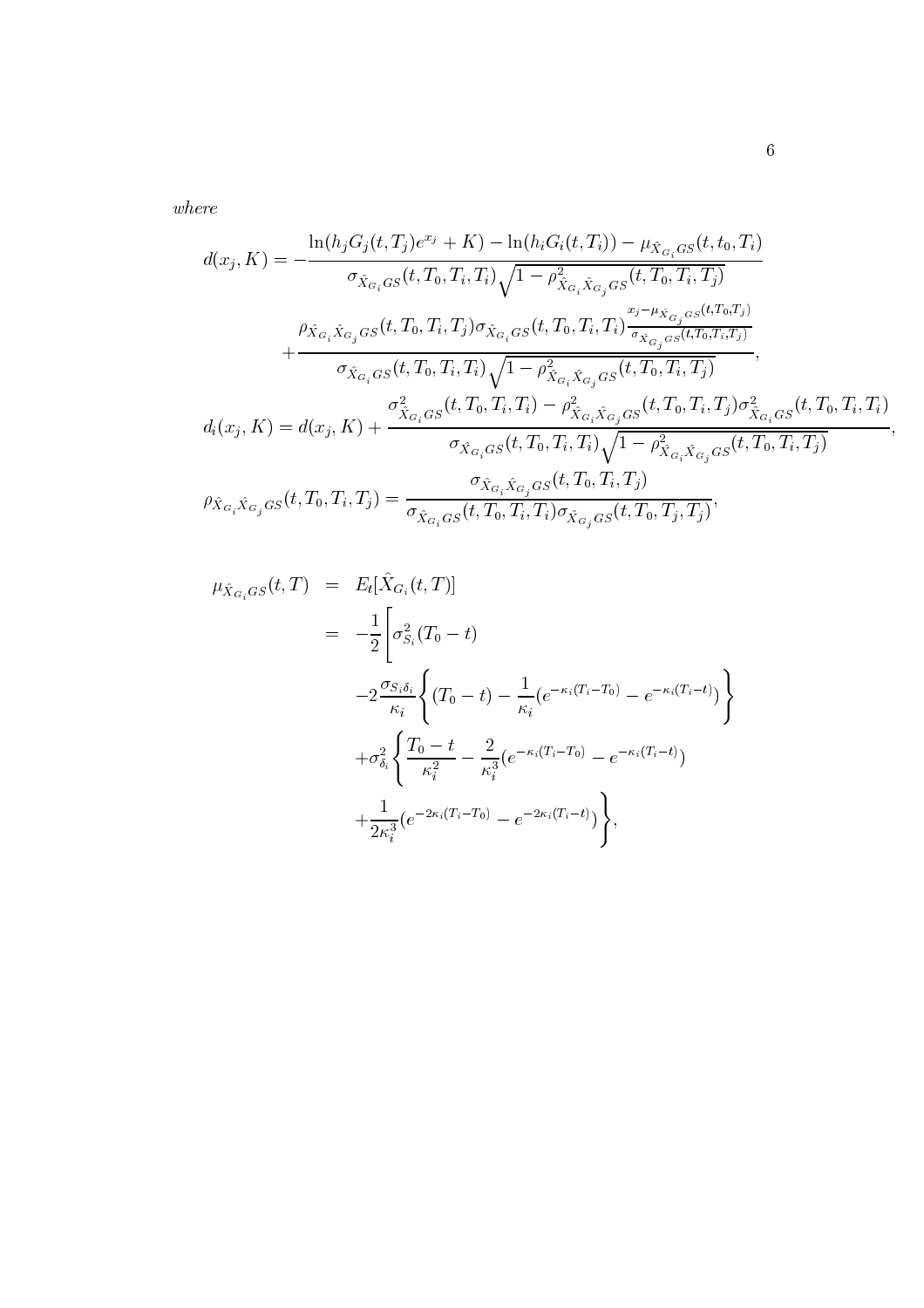$where$ 

$$
d(x_j, K) = -\frac{\ln(h_j G_j(t, T_j)e^{x_j} + K) - \ln(h_i G_i(t, T_i)) - \mu_{\hat{X}_{G_i}GS}(t, t_0, T_i)}{\sigma_{\hat{X}_{G_i}GS}(t, T_0, T_i, T_i) \sqrt{1 - \rho_{\hat{X}_{G_i} \hat{X}_{G_j}GS}(t, T_0, T_i, T_j)}} + \frac{\rho_{\hat{X}_{G_i} \hat{X}_{G_j}GS}(t, T_0, T_i, T_j) \sigma_{\hat{X}_{G_i}GS}(t, T_0, T_i, T_i) \frac{x_j - \mu_{\hat{X}_{G_j}GS}(t, T_0, T_i, T_j)}{\sigma_{\hat{X}_{G_i}GS}(t, T_0, T_i, T_i) \sqrt{1 - \rho_{\hat{X}_{G_i} \hat{X}_{G_j}GS}(t, T_0, T_i, T_j)}},
$$
\n
$$
d_i(x_j, K) = d(x_j, K) + \frac{\sigma_{\hat{X}_{G_i}GS}^2(t, T_0, T_i, T_i) - \rho_{\hat{X}_{G_i} \hat{X}_{G_j}GS}(t, T_0, T_i, T_j) \sigma_{\hat{X}_{G_i}GS}^2(t, T_0, T_i, T_j)}{\sigma_{\hat{X}_{G_i}GS}(t, T_0, T_i, T_i) \sqrt{1 - \rho_{\hat{X}_{G_i} \hat{X}_{G_j}GS}(t, T_0, T_i, T_j)}},
$$
\n
$$
\rho_{\hat{X}_{G_i} \hat{X}_{G_j}GS}(t, T_0, T_i, T_j) = \frac{\sigma_{\hat{X}_{G_i} \hat{X}_{G_j}GS}(t, T_0, T_i, T_j) \sigma_{\hat{X}_{G_i} \hat{X}_{G_j}GS}(t, T_0, T_i, T_j)}{\sigma_{\hat{X}_{G_i} \hat{X}_{G_j}GS}(t, T_0, T_i, T_j) \sigma_{\hat{X}_{G_i}GS}(t, T_0, T_i, T_j)},
$$

$$
\mu_{\hat{X}_{G_i}GS}(t,T) = E_t[\hat{X}_{G_i}(t,T)]
$$
  
\n
$$
= -\frac{1}{2} \left[ \sigma_{S_i}^2(T_0 - t) - \frac{1}{\kappa_i} (e^{-\kappa_i (T_i - T_0)} - e^{-\kappa_i (T_i - t)}) \right]
$$
  
\n
$$
-2 \frac{\sigma_{S_i \delta_i}}{\kappa_i} \left\{ \frac{T_0 - t}{\kappa_i^2} - \frac{2}{\kappa_i^3} (e^{-\kappa_i (T_i - T_0)} - e^{-\kappa_i (T_i - t)}) + \frac{1}{2\kappa_i^3} (e^{-2\kappa_i (T_i - T_0)} - e^{-2\kappa_i (T_i - t)}) \right\},
$$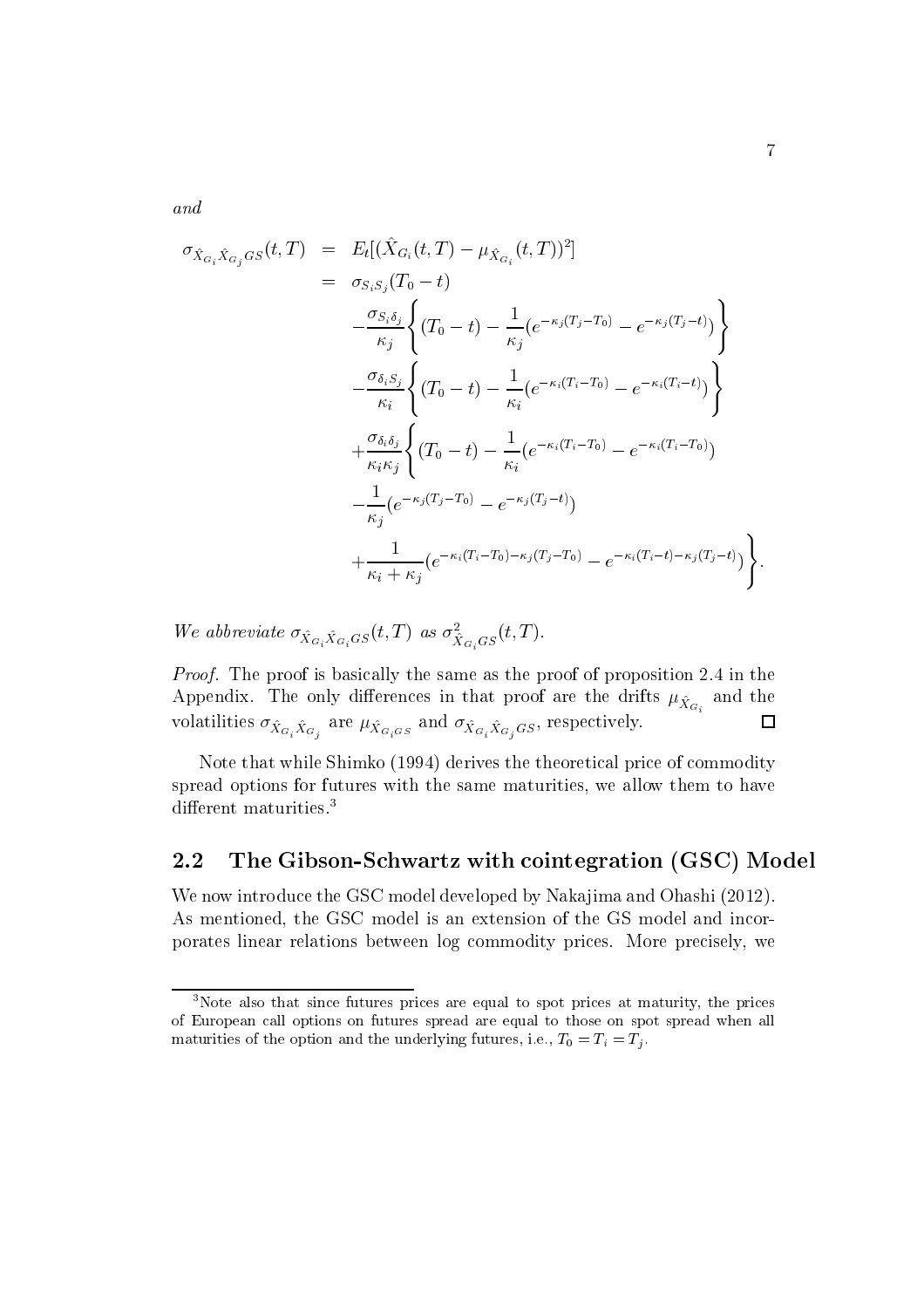and

$$
\sigma_{\hat{X}_{G_i}\hat{X}_{G_j}GS}(t,T) = E_t[(\hat{X}_{G_i}(t,T) - \mu_{\hat{X}_{G_i}}(t,T))^2]
$$
\n
$$
= \sigma_{S_i S_j}(T_0 - t)
$$
\n
$$
-\frac{\sigma_{S_i \delta_j}}{\kappa_j} \left\{ (T_0 - t) - \frac{1}{\kappa_j} (e^{-\kappa_j (T_j - T_0)} - e^{-\kappa_j (T_j - t)}) \right\}
$$
\n
$$
-\frac{\sigma_{\delta_i S_j}}{\kappa_i} \left\{ (T_0 - t) - \frac{1}{\kappa_i} (e^{-\kappa_i (T_i - T_0)} - e^{-\kappa_i (T_i - t)}) \right\}
$$
\n
$$
+\frac{\sigma_{\delta_i \delta_j}}{\kappa_i \kappa_j} \left\{ (T_0 - t) - \frac{1}{\kappa_i} (e^{-\kappa_i (T_i - T_0)} - e^{-\kappa_i (T_i - T_0)})
$$
\n
$$
-\frac{1}{\kappa_j} (e^{-\kappa_j (T_j - T_0)} - e^{-\kappa_j (T_j - t)})
$$
\n
$$
+\frac{1}{\kappa_i + \kappa_j} (e^{-\kappa_i (T_i - T_0) - \kappa_j (T_j - T_0)} - e^{-\kappa_i (T_i - t) - \kappa_j (T_j - t)}) \right\}
$$

We abbreviate  $\sigma_{\hat{X}_{G_i}\hat{X}_{G_i}GS}(t,T)$  as  $\sigma_{\hat{X}_{G_i}GS}^2(t,T)$ .

*Proof.* The proof is basically the same as the proof of proposition 2.4 in the Appendix. The only differences in that proof are the drifts  $\mu_{\hat{X}_{G_i}}$  and the volatilities  $\sigma_{\hat{X}_{G_i}\hat{X}_{G_j}}$  are  $\mu_{\hat{X}_{G_iG_S}}$  and  $\sigma_{\hat{X}_{G_i}\hat{X}_{G_jG_S}}$ , respectively.  $\Box$ 

Note that while Shimko (1994) derives the theoretical price of commodity spread options for futures with the same maturities, we allow them to have different maturities.<sup>3</sup>

#### $2.2$ The Gibson-Schwartz with cointegration (GSC) Model

We now introduce the GSC model developed by Nakajima and Ohashi (2012). As mentioned, the GSC model is an extension of the GS model and incorporates linear relations between log commodity prices. More precisely, we

<sup>&</sup>lt;sup>3</sup>Note also that since futures prices are equal to spot prices at maturity, the prices of European call options on futures spread are equal to those on spot spread when all maturities of the option and the underlying futures, i.e.,  $T_0 = T_i = T_j$ .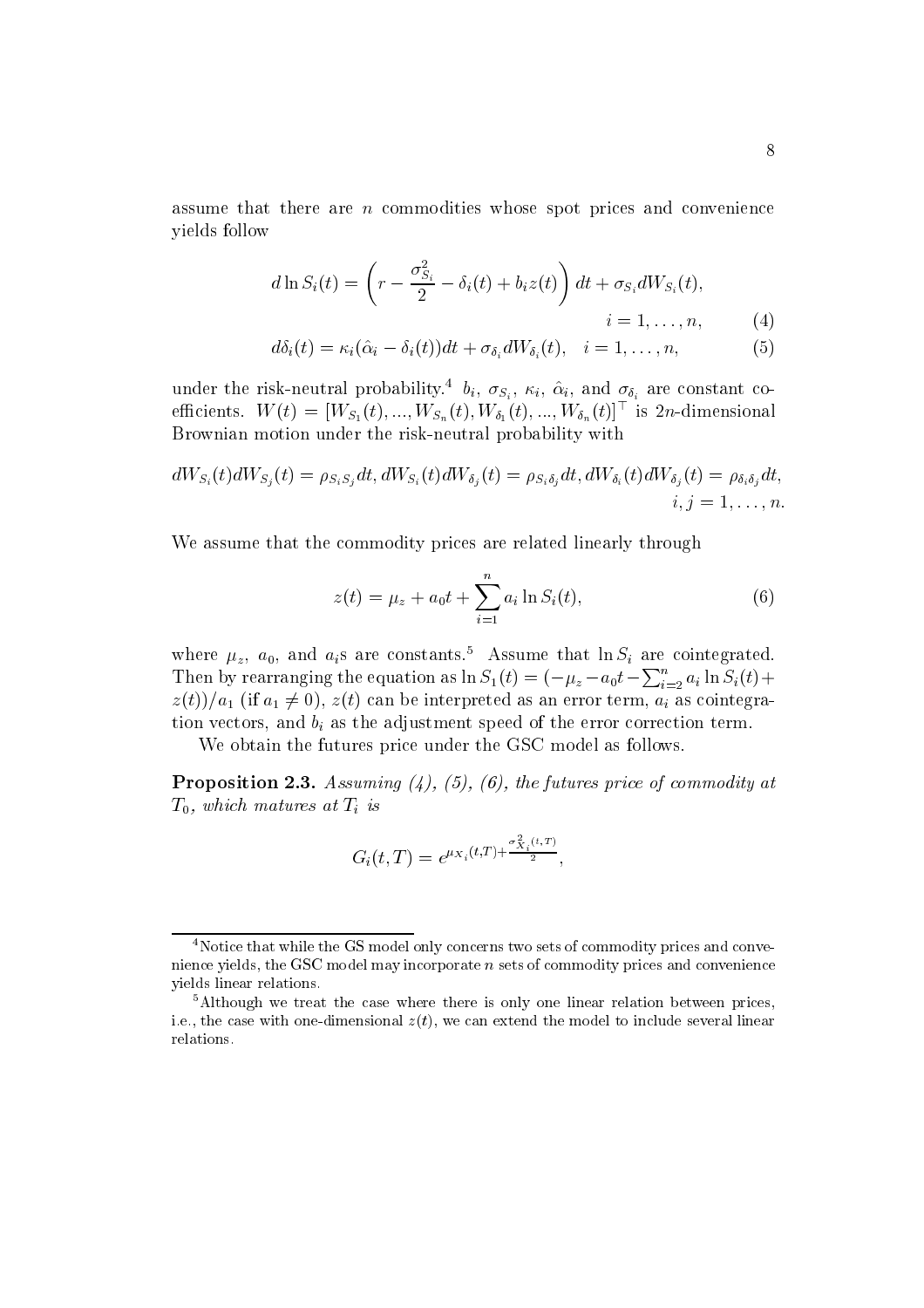assume that there are  $n$  commodities whose spot prices and convenience vields follow

$$
d\ln S_i(t) = \left(r - \frac{\sigma_{S_i}^2}{2} - \delta_i(t) + b_i z(t)\right) dt + \sigma_{S_i} dW_{S_i}(t),
$$
  
\n
$$
i = 1, ..., n,
$$
 (4)

$$
d\delta_i(t) = \kappa_i(\hat{\alpha}_i - \delta_i(t))dt + \sigma_{\delta_i}dW_{\delta_i}(t), \quad i = 1, \dots, n,
$$
 (5)

under the risk-neutral probability.<sup>4</sup>  $b_i$ ,  $\sigma_{S_i}$ ,  $\kappa_i$ ,  $\hat{\alpha}_i$ , and  $\sigma_{\delta_i}$  are constant coefficients.  $W(t) = [W_{S_1}(t), ..., W_{S_n}(t), W_{\delta_1}(t), ..., W_{\delta_n}(t)]^{\top}$  is 2n-dimensional Brownian motion under the risk-neutral probability with

$$
dW_{S_i}(t)dW_{S_j}(t) = \rho_{S_iS_j}dt, dW_{S_i}(t)dW_{\delta_j}(t) = \rho_{S_i\delta_j}dt, dW_{\delta_i}(t)dW_{\delta_j}(t) = \rho_{\delta_i\delta_j}dt, \quad i, j = 1, \dots, n
$$

We assume that the commodity prices are related linearly through

$$
z(t) = \mu_z + a_0 t + \sum_{i=1}^n a_i \ln S_i(t), \qquad (6)
$$

where  $\mu_z$ ,  $a_0$ , and  $a_i$ s are constants.<sup>5</sup> Assume that  $\ln S_i$  are cointegrated. Then by rearranging the equation as  $\ln S_1(t) = (-\mu_z - a_0 t - \sum_{i=2}^n a_i \ln S_i(t) +$  $z(t)/a_1$  (if  $a_1 \neq 0$ ),  $z(t)$  can be interpreted as an error term,  $a_i$  as cointegration vectors, and  $b_i$  as the adjustment speed of the error correction term.

We obtain the futures price under the GSC model as follows.

**Proposition 2.3.** Assuming  $(4)$ ,  $(5)$ ,  $(6)$ , the futures price of commodity at  $T_0$ , which matures at  $T_i$  is

$$
G_i(t,T) = e^{\mu_{X_i}(t,T) + \frac{\sigma_{X_i}^2(t,T)}{2}},
$$

<sup>&</sup>lt;sup>4</sup>Notice that while the GS model only concerns two sets of commodity prices and convenience yields, the GSC model may incorporate  $n$  sets of commodity prices and convenience vields linear relations.

 ${}^{5}$ Although we treat the case where there is only one linear relation between prices. i.e., the case with one-dimensional  $z(t)$ , we can extend the model to include several linear relations.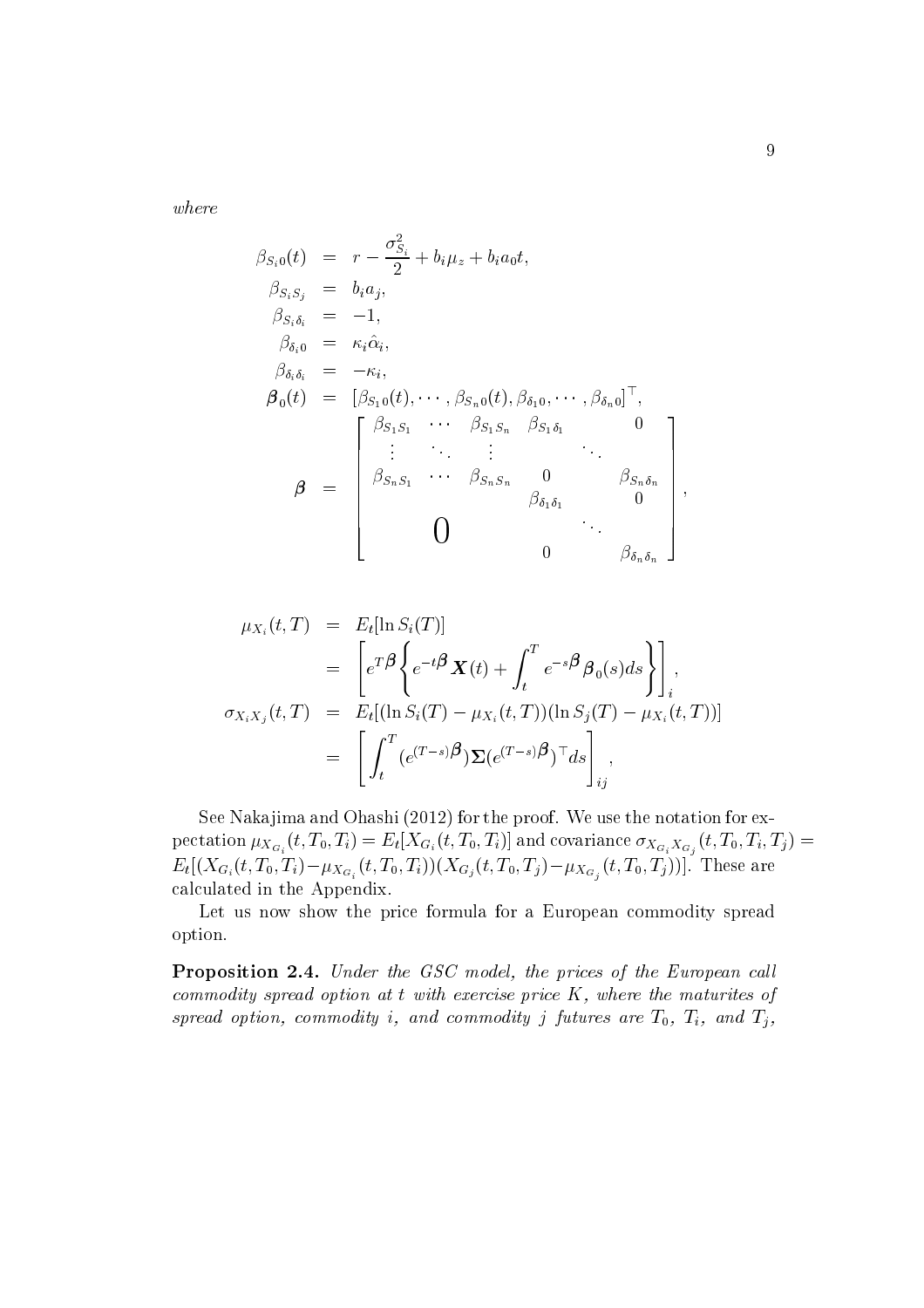where

$$
\beta_{S_i 0}(t) = r - \frac{\sigma_{S_i}^2}{2} + b_i \mu_z + b_i a_0 t,
$$
\n
$$
\beta_{S_i S_j} = b_i a_j,
$$
\n
$$
\beta_{S_i \delta_i} = -1,
$$
\n
$$
\beta_{\delta_i 0} = \kappa_i \hat{\alpha}_i,
$$
\n
$$
\beta_{\delta_i \delta_i} = -\kappa_i,
$$
\n
$$
\boldsymbol{\beta}_0(t) = [\beta_{S_1 0}(t), \cdots, \beta_{S_n 0}(t), \beta_{\delta_1 0}, \cdots, \beta_{\delta_n 0}]^\top,
$$
\n
$$
\beta = \begin{bmatrix}\n\beta_{S_1 S_1} & \cdots & \beta_{S_1 S_n} & \beta_{S_1 \delta_1} & 0 \\
\vdots & \ddots & \vdots & \ddots & \vdots \\
\beta_{S_n S_1} & \cdots & \beta_{S_n S_n} & 0 & \beta_{S_n \delta_n} \\
\vdots & \ddots & \vdots & \ddots & \vdots \\
\beta_{\delta_n \delta_1} & 0 & \cdots & \beta_{\delta_n \delta_n}\n\end{bmatrix},
$$

$$
\mu_{X_i}(t,T) = E_t[\ln S_i(T)]
$$
  
\n
$$
= \left[ e^{T\beta} \left\{ e^{-t\beta} \mathbf{X}(t) + \int_t^T e^{-s\beta} \beta_0(s) ds \right\} \right]_i,
$$
  
\n
$$
\sigma_{X_i X_j}(t,T) = E_t[(\ln S_i(T) - \mu_{X_i}(t,T))(\ln S_j(T) - \mu_{X_i}(t,T))]
$$
  
\n
$$
= \left[ \int_t^T (e^{(T-s)\beta}) \Sigma(e^{(T-s)\beta})^\top ds \right]_{ij},
$$

See Nakajima and Ohashi (2012) for the proof. We use the notation for expectation  $\mu_{X_{G_i}}(t, T_0, T_i) = E_t[X_{G_i}(t, T_0, T_i)]$  and covariance  $\sigma_{X_{G_i}X_{G_j}}(t, T_0, T_i, T_j) = E_t[(X_{G_i}(t, T_0, T_i) - \mu_{X_{G_i}}(t, T_0, T_i))(X_{G_j}(t, T_0, T_j) - \mu_{X_{G_j}}(t, T_0, T_j))]$ . These are calculated in the Appendix.

Let us now show the price formula for a European commodity spread option.

**Proposition 2.4.** Under the GSC model, the prices of the European call commodity spread option at  $t$  with exercise price  $K$ , where the maturites of spread option, commodity i, and commodity j futures are  $T_0$ ,  $T_i$ , and  $T_j$ ,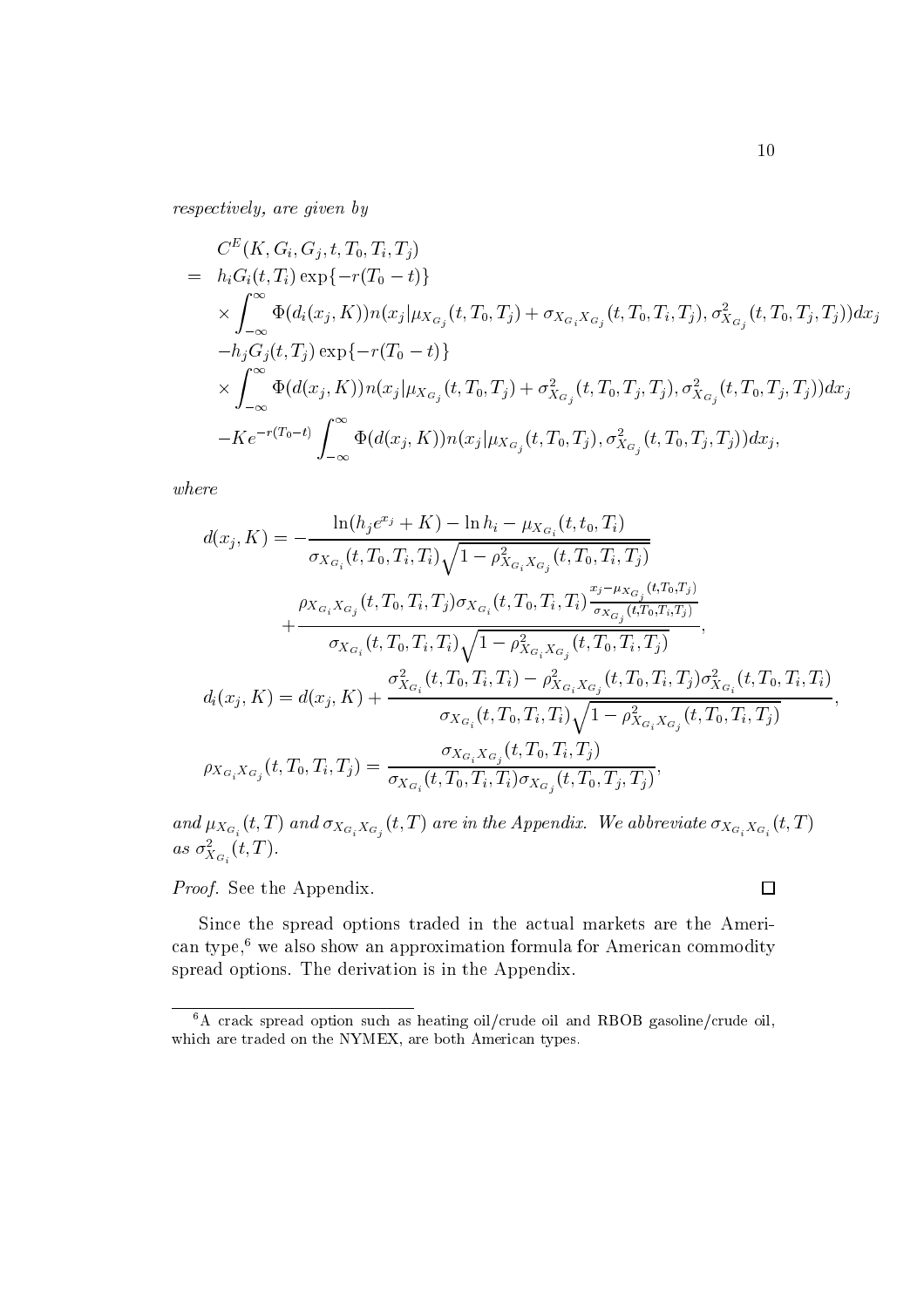respectively, are given by

$$
C^{E}(K, G_{i}, G_{j}, t, T_{0}, T_{i}, T_{j})
$$
\n
$$
= h_{i}G_{i}(t, T_{i}) \exp\{-r(T_{0} - t)\}\
$$
\n
$$
\times \int_{-\infty}^{\infty} \Phi(d_{i}(x_{j}, K)) n(x_{j} | \mu_{X_{G_{j}}}(t, T_{0}, T_{j}) + \sigma_{X_{G_{i}}X_{G_{j}}}(t, T_{0}, T_{i}, T_{j}), \sigma_{X_{G_{j}}}^{2}(t, T_{0}, T_{j}, T_{j})) dx_{j}
$$
\n
$$
-h_{j}G_{j}(t, T_{j}) \exp\{-r(T_{0} - t)\}\
$$
\n
$$
\times \int_{-\infty}^{\infty} \Phi(d(x_{j}, K)) n(x_{j} | \mu_{X_{G_{j}}}(t, T_{0}, T_{j}) + \sigma_{X_{G_{j}}}^{2}(t, T_{0}, T_{j}, T_{j}), \sigma_{X_{G_{j}}}^{2}(t, T_{0}, T_{j}, T_{j})) dx_{j}
$$
\n
$$
-Ke^{-r(T_{0} - t)} \int_{-\infty}^{\infty} \Phi(d(x_{j}, K)) n(x_{j} | \mu_{X_{G_{j}}}(t, T_{0}, T_{j}), \sigma_{X_{G_{j}}}^{2}(t, T_{0}, T_{j}, T_{j})) dx_{j},
$$

 $where$ 

$$
d(x_j, K) = -\frac{\ln(h_j e^{x_j} + K) - \ln h_i - \mu_{X_{G_i}}(t, t_0, T_i)}{\sigma_{X_{G_i}}(t, T_0, T_i, T_i) \sqrt{1 - \rho_{X_{G_i} X_{G_j}}^2(t, T_0, T_i, T_j)}} + \frac{\rho_{X_{G_i} X_{G_j}}(t, T_0, T_i, T_j) \sigma_{X_{G_i}}(t, T_0, T_i, T_i) \frac{x_j - \mu_{X_{G_j}}(t, T_0, T_j)}{\sigma_{X_{G_i}}(t, T_0, T_i, T_j)}}{\sigma_{X_{G_i}}(t, T_0, T_i, T_i) \sqrt{1 - \rho_{X_{G_i} X_{G_j}}^2(t, T_0, T_i, T_j)}},
$$
\n
$$
d_i(x_j, K) = d(x_j, K) + \frac{\sigma_{X_{G_i}}^2(t, T_0, T_i, T_i) - \rho_{X_{G_i} X_{G_j}}^2(t, T_0, T_i, T_j) \sigma_{X_{G_i}}^2(t, T_0, T_i, T_i)}{\sigma_{X_{G_i}}(t, T_0, T_i, T_i) \sqrt{1 - \rho_{X_{G_i} X_{G_j}}^2(t, T_0, T_i, T_j)}},
$$
\n
$$
\rho_{X_{G_i} X_{G_j}}(t, T_0, T_i, T_j) = \frac{\sigma_{X_{G_i} X_{G_j}}(t, T_0, T_i, T_j)}{\sigma_{X_{G_i}}(t, T_0, T_i, T_j) \sigma_{X_{G_j}}(t, T_0, T_j, T_j)},
$$

and  $\mu_{X_{G_i}}(t,T)$  and  $\sigma_{X_{G_i}X_{G_j}}(t,T)$  are in the Appendix. We abbreviate  $\sigma_{X_{G_i}X_{G_i}}(t,T)$ as  $\sigma_{X_{G_i}}^2(t,T)$ .

Proof. See the Appendix.

Since the spread options traded in the actual markets are the American type,<sup>6</sup> we also show an approximation formula for American commodity spread options. The derivation is in the Appendix.

 $\Box$ 

 $6A$  crack spread option such as heating oil/crude oil and RBOB gasoline/crude oil, which are traded on the NYMEX, are both American types.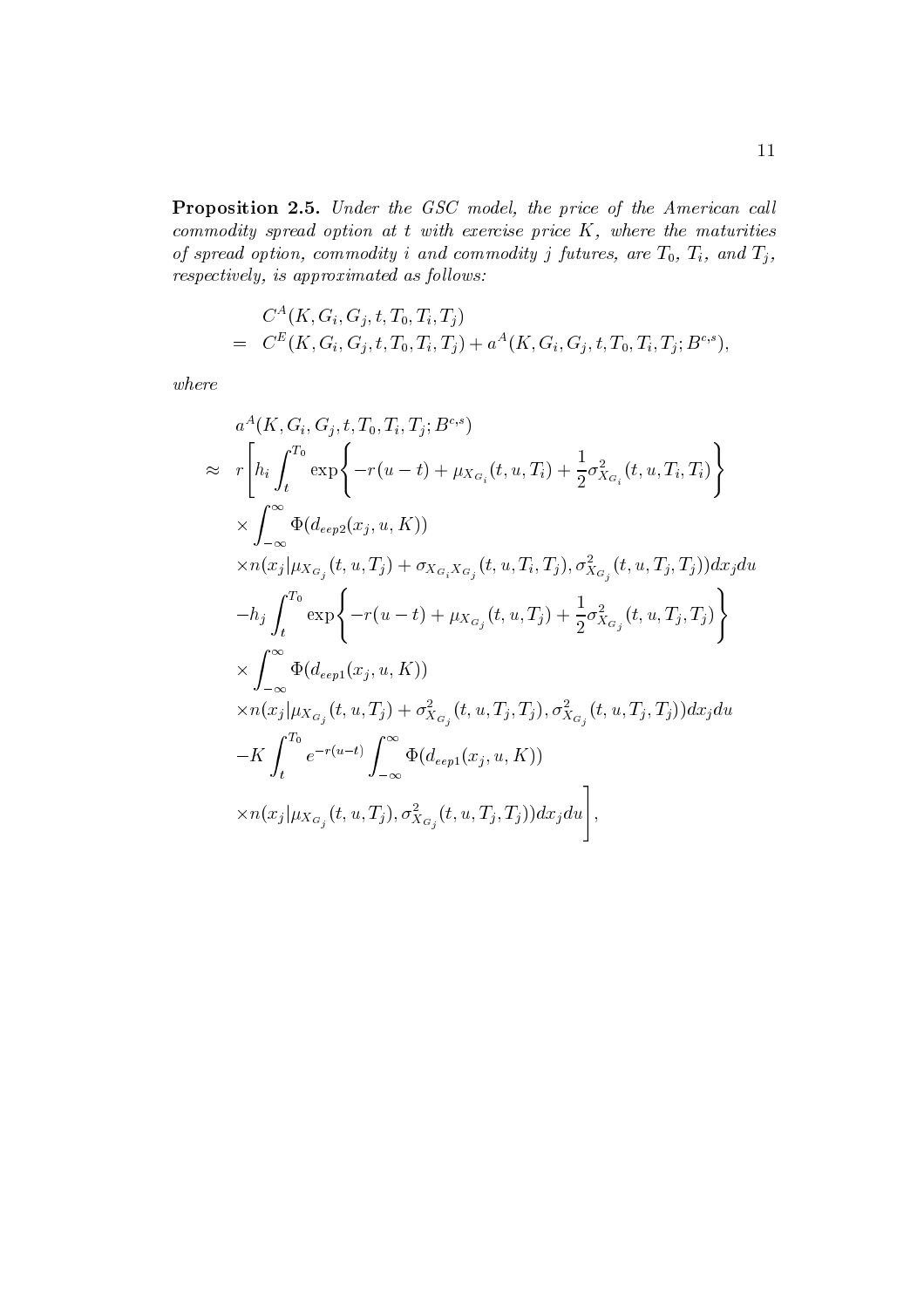Proposition 2.5. Under the GSC model, the price of the American call commodity spread option at  $t$  with exercise price  $K$ , where the maturities of spread option, commodity i and commodity j futures, are  $T_0$ ,  $T_i$ , and  $T_j$ ,  $respectively, is \ approximated \ as \ follows:$ 

$$
C^{A}(K, G_i, G_j, t, T_0, T_i, T_j) = C^{E}(K, G_i, G_j, t, T_0, T_i, T_j) + a^{A}(K, G_i, G_j, t, T_0, T_i, T_j; B^{c,s}),
$$

 $where$ 

$$
\begin{split}\na^{A}(K, G_{i}, G_{j}, t, T_{0}, T_{i}, T_{j}; B^{c,s}) \\
&\approx r \Bigg[ h_{i} \int_{t}^{T_{0}} \exp \Bigg\{-r(u - t) + \mu_{X_{G_{i}}}(t, u, T_{i}) + \frac{1}{2} \sigma_{X_{G_{i}}}^{2}(t, u, T_{i}, T_{i}) \Bigg\} \\
&\times \int_{-\infty}^{\infty} \Phi(de_{p2}(x_{j}, u, K)) \\
&\times n(x_{j}|\mu_{X_{G_{j}}}(t, u, T_{j}) + \sigma_{X_{G_{i}}X_{G_{j}}}(t, u, T_{i}, T_{j}), \sigma_{X_{G_{j}}}^{2}(t, u, T_{j}, T_{j})) dx_{j} du \\
&\quad - h_{j} \int_{t}^{T_{0}} \exp \Bigg\{-r(u - t) + \mu_{X_{G_{j}}}(t, u, T_{j}) + \frac{1}{2} \sigma_{X_{G_{j}}}^{2}(t, u, T_{j}, T_{j}) \Bigg\} \\
&\times \int_{-\infty}^{\infty} \Phi(de_{p1}(x_{j}, u, K)) \\
&\times n(x_{j}|\mu_{X_{G_{j}}}(t, u, T_{j}) + \sigma_{X_{G_{j}}}^{2}(t, u, T_{j}, T_{j}), \sigma_{X_{G_{j}}}^{2}(t, u, T_{j}, T_{j})) dx_{j} du \\
&\quad - K \int_{t}^{T_{0}} e^{-r(u - t)} \int_{-\infty}^{\infty} \Phi(de_{p1}(x_{j}, u, K)) \\
&\times n(x_{j}|\mu_{X_{G_{j}}}(t, u, T_{j}), \sigma_{X_{G_{j}}}^{2}(t, u, T_{j}, T_{j})) dx_{j} du \Bigg],\n\end{split}
$$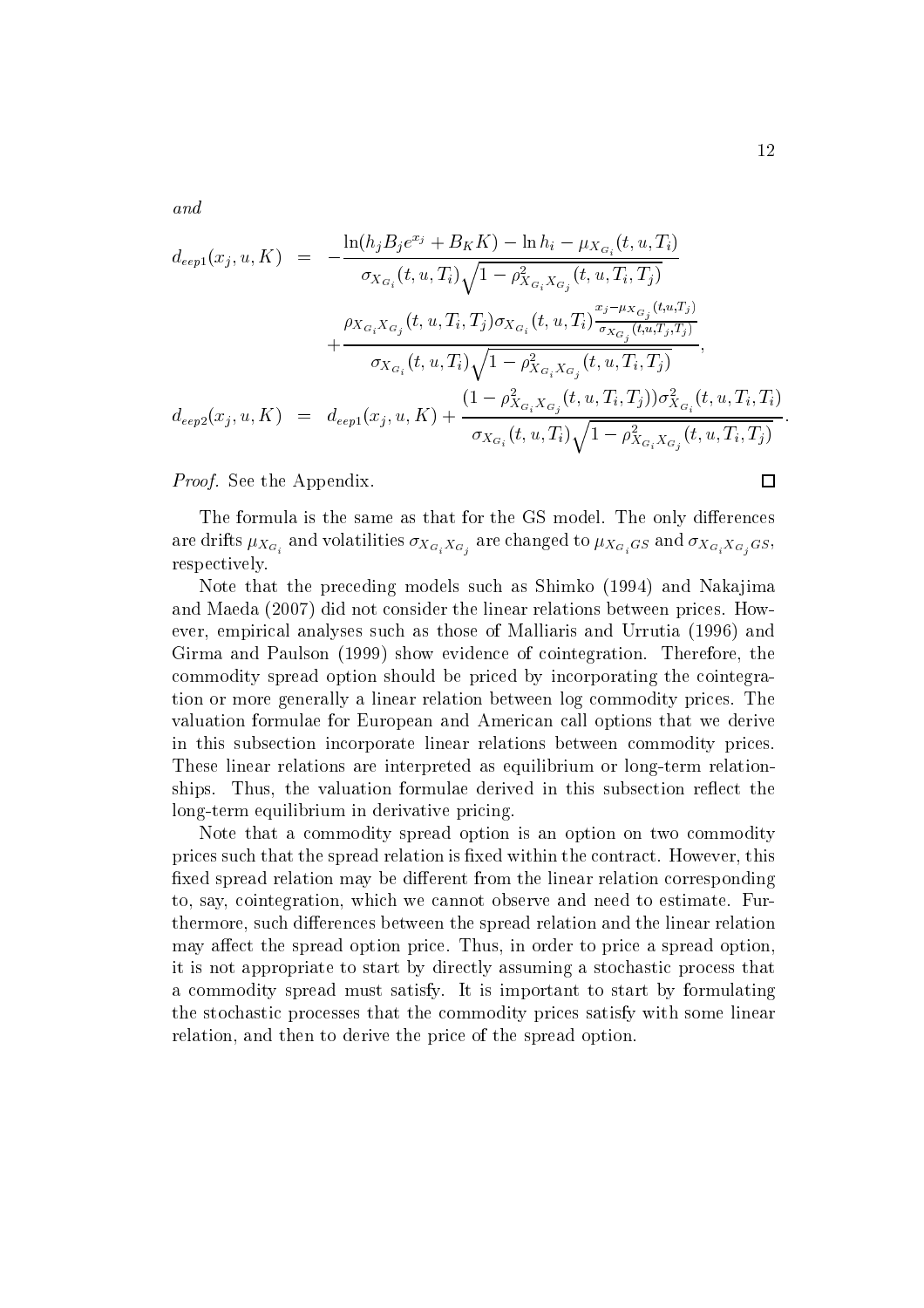and

$$
d_{eep1}(x_j, u, K) = -\frac{\ln(h_j B_j e^{x_j} + B_K K) - \ln h_i - \mu_{X_{G_i}}(t, u, T_i)}{\sigma_{X_{G_i}}(t, u, T_i) \sqrt{1 - \rho_{X_{G_i} X_{G_j}}^2(t, u, T_i, T_j)}} + \frac{\rho_{X_{G_i} X_{G_j}}(t, u, T_i, T_j) \sigma_{X_{G_i}}(t, u, T_i) \frac{x_j - \mu_{X_{G_j}}(t, u, T_j)}{\sigma_{X_{G_i}}(t, u, T_i, T_j)}}{\sigma_{X_{G_i}}(t, u, T_i) \sqrt{1 - \rho_{X_{G_i} X_{G_j}}^2(t, u, T_i, T_j)}},
$$
\n
$$
d_{eep2}(x_j, u, K) = d_{eep1}(x_j, u, K) + \frac{(1 - \rho_{X_{G_i} X_{G_j}}^2(t, u, T_i, T_j)) \sigma_{X_{G_i}}^2(t, u, T_i, T_i)}{\sigma_{X_{G_i}}(t, u, T_i) \sqrt{1 - \rho_{X_{G_i} X_{G_j}}^2(t, u, T_i, T_j)}}
$$

*Proof.* See the Appendix.

The formula is the same as that for the GS model. The only differences are drifts  $\mu_{X_{G_i}}$  and volatilities  $\sigma_{X_{G_i}X_{G_j}}$  are changed to  $\mu_{X_{G_i}G_S}$  and  $\sigma_{X_{G_i}X_{G_j}G_S}$ , respectively.

Note that the preceding models such as Shimko (1994) and Nakajima and Maeda (2007) did not consider the linear relations between prices. However, empirical analyses such as those of Malliaris and Urrutia (1996) and Girma and Paulson (1999) show evidence of cointegration. Therefore, the commodity spread option should be priced by incorporating the cointegration or more generally a linear relation between log commodity prices. The valuation formulae for European and American call options that we derive in this subsection incorporate linear relations between commodity prices. These linear relations are interpreted as equilibrium or long-term relationships. Thus, the valuation formulae derived in this subsection reflect the long-term equilibrium in derivative pricing.

Note that a commodity spread option is an option on two commodity prices such that the spread relation is fixed within the contract. However, this fixed spread relation may be different from the linear relation corresponding to, say, cointegration, which we cannot observe and need to estimate. Furthermore, such differences between the spread relation and the linear relation may affect the spread option price. Thus, in order to price a spread option. it is not appropriate to start by directly assuming a stochastic process that a commodity spread must satisfy. It is important to start by formulating the stochastic processes that the commodity prices satisfy with some linear relation, and then to derive the price of the spread option.

 $\Box$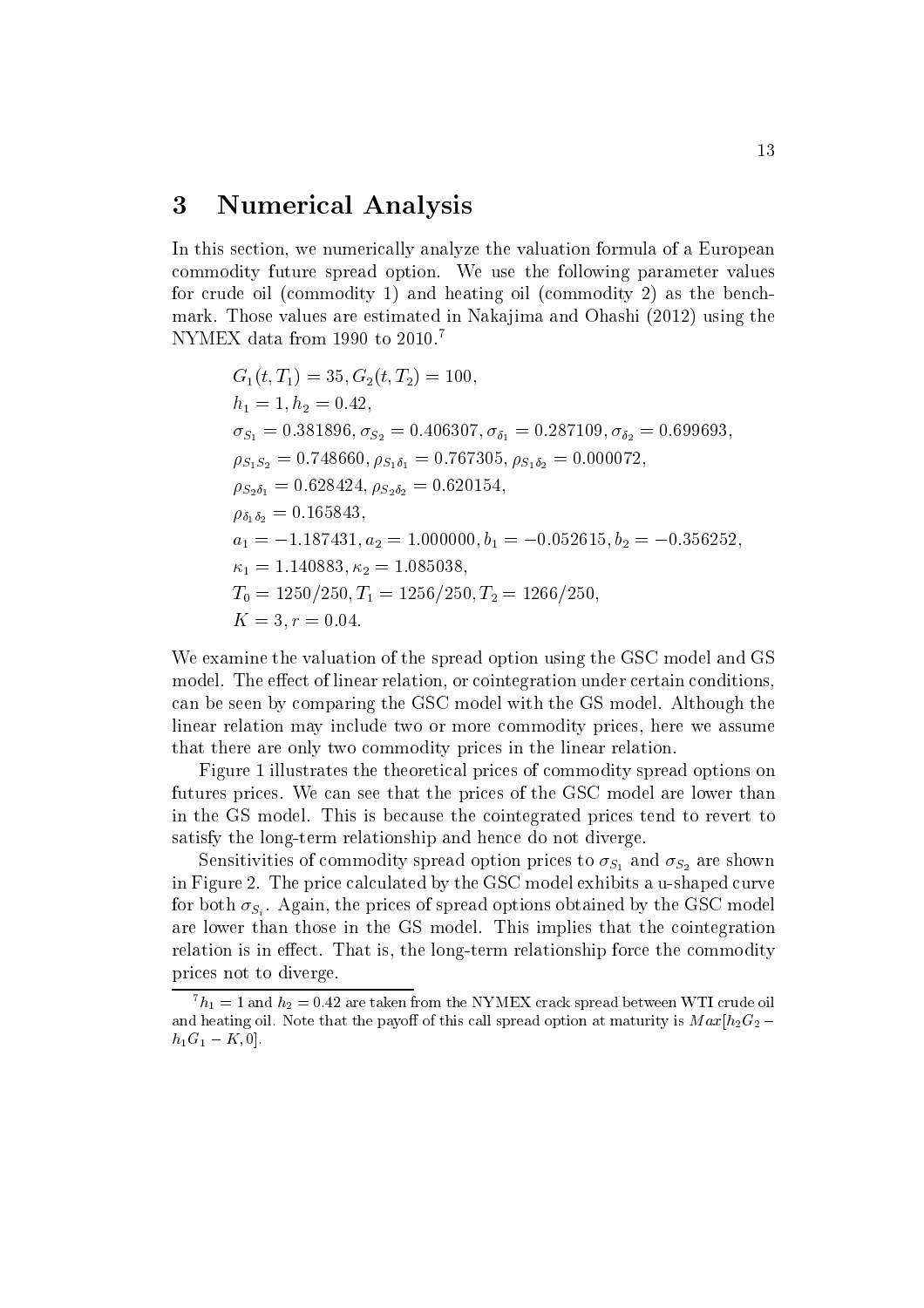#### 3 **Numerical Analysis**

In this section, we numerically analyze the valuation formula of a European commodity future spread option. We use the following parameter values for crude oil (commodity 1) and heating oil (commodity 2) as the benchmark. Those values are estimated in Nakajima and Ohashi (2012) using the NYMEX data from 1990 to 2010.<sup>7</sup>

$$
G_1(t, T_1) = 35, G_2(t, T_2) = 100,
$$
  
\n
$$
h_1 = 1, h_2 = 0.42,
$$
  
\n
$$
\sigma_{S_1} = 0.381896, \sigma_{S_2} = 0.406307, \sigma_{\delta_1} = 0.287109, \sigma_{\delta_2} = 0.699693,
$$
  
\n
$$
\rho_{S_1S_2} = 0.748660, \rho_{S_1\delta_1} = 0.767305, \rho_{S_1\delta_2} = 0.000072,
$$
  
\n
$$
\rho_{S_2\delta_1} = 0.628424, \rho_{S_2\delta_2} = 0.620154,
$$
  
\n
$$
\rho_{\delta_1\delta_2} = 0.165843,
$$
  
\n
$$
a_1 = -1.187431, a_2 = 1.000000, b_1 = -0.052615, b_2 = -0.356252
$$
  
\n
$$
\kappa_1 = 1.140883, \kappa_2 = 1.085038,
$$
  
\n
$$
T_0 = 1250/250, T_1 = 1256/250, T_2 = 1266/250,
$$
  
\n
$$
K = 3, r = 0.04.
$$

We examine the valuation of the spread option using the GSC model and GS model. The effect of linear relation, or cointegration under certain conditions. can be seen by comparing the GSC model with the GS model. Although the linear relation may include two or more commodity prices, here we assume that there are only two commodity prices in the linear relation.

Figure 1 illustrates the theoretical prices of commodity spread options on futures prices. We can see that the prices of the GSC model are lower than in the GS model. This is because the cointegrated prices tend to revert to satisfy the long-term relationship and hence do not diverge.

Sensitivities of commodity spread option prices to  $\sigma_{S_1}$  and  $\sigma_{S_2}$  are shown in Figure 2. The price calculated by the GSC model exhibits a u-shaped curve for both  $\sigma_{S_i}$ . Again, the prices of spread options obtained by the GSC model are lower than those in the GS model. This implies that the cointegration relation is in effect. That is, the long-term relationship force the commodity prices not to diverge.

 ${}^{7}h_1 = 1$  and  $h_2 = 0.42$  are taken from the NYMEX crack spread between WTI crude oil and heating oil. Note that the payoff of this call spread option at maturity is  $Max[h_2G_2$  $h_1G_1 - K, 0].$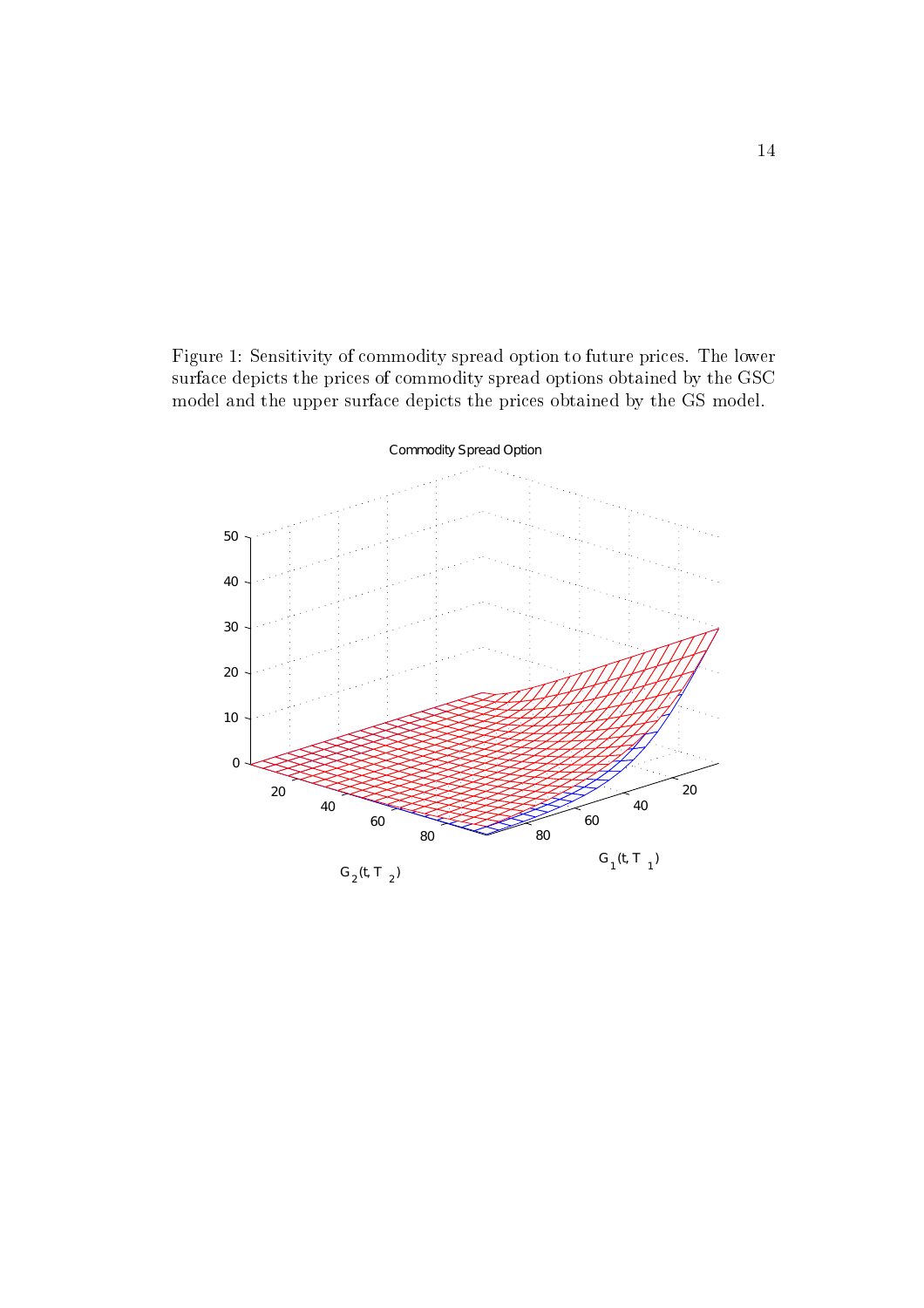Figure 1: Sensitivity of commodity spread option to future prices. The lower surface depicts the prices of commodity spread options obtained by the GSC model and the upper surface depicts the prices obtained by the GS model.

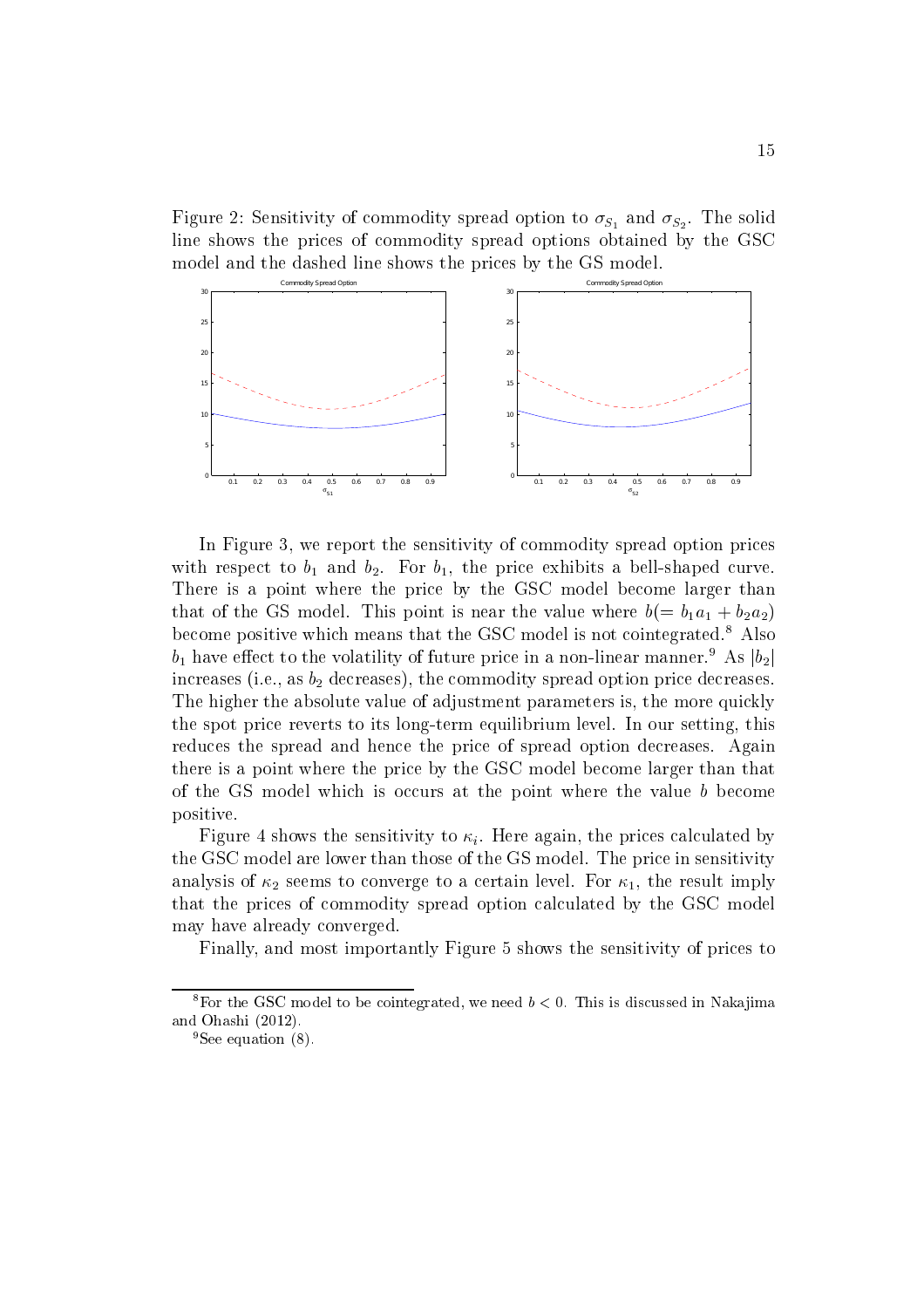Figure 2: Sensitivity of commodity spread option to  $\sigma_{S_1}$  and  $\sigma_{S_2}$ . The solid line shows the prices of commodity spread options obtained by the GSC model and the dashed line shows the prices by the GS model.



In Figure 3, we report the sensitivity of commodity spread option prices with respect to  $b_1$  and  $b_2$ . For  $b_1$ , the price exhibits a bell-shaped curve. There is a point where the price by the GSC model become larger than that of the GS model. This point is near the value where  $b(=b_1a_1+b_2a_2)$ become positive which means that the GSC model is not cointegrated.<sup>8</sup> Also  $b_1$  have effect to the volatility of future price in a non-linear manner.<sup>9</sup> As  $|b_2|$ increases (i.e., as  $b_2$  decreases), the commodity spread option price decreases. The higher the absolute value of adjustment parameters is, the more quickly the spot price reverts to its long-term equilibrium level. In our setting, this reduces the spread and hence the price of spread option decreases. Again there is a point where the price by the GSC model become larger than that of the GS model which is occurs at the point where the value b become positive.

Figure 4 shows the sensitivity to  $\kappa_i$ . Here again, the prices calculated by the GSC model are lower than those of the GS model. The price in sensitivity analysis of  $\kappa_2$  seems to converge to a certain level. For  $\kappa_1$ , the result imply that the prices of commodity spread option calculated by the GSC model may have already converged.

Finally, and most importantly Figure 5 shows the sensitivity of prices to

<sup>&</sup>lt;sup>8</sup>For the GSC model to be cointegrated, we need  $b < 0$ . This is discussed in Nakajima and Ohashi (2012).

 ${}^{9}$ See equation (8).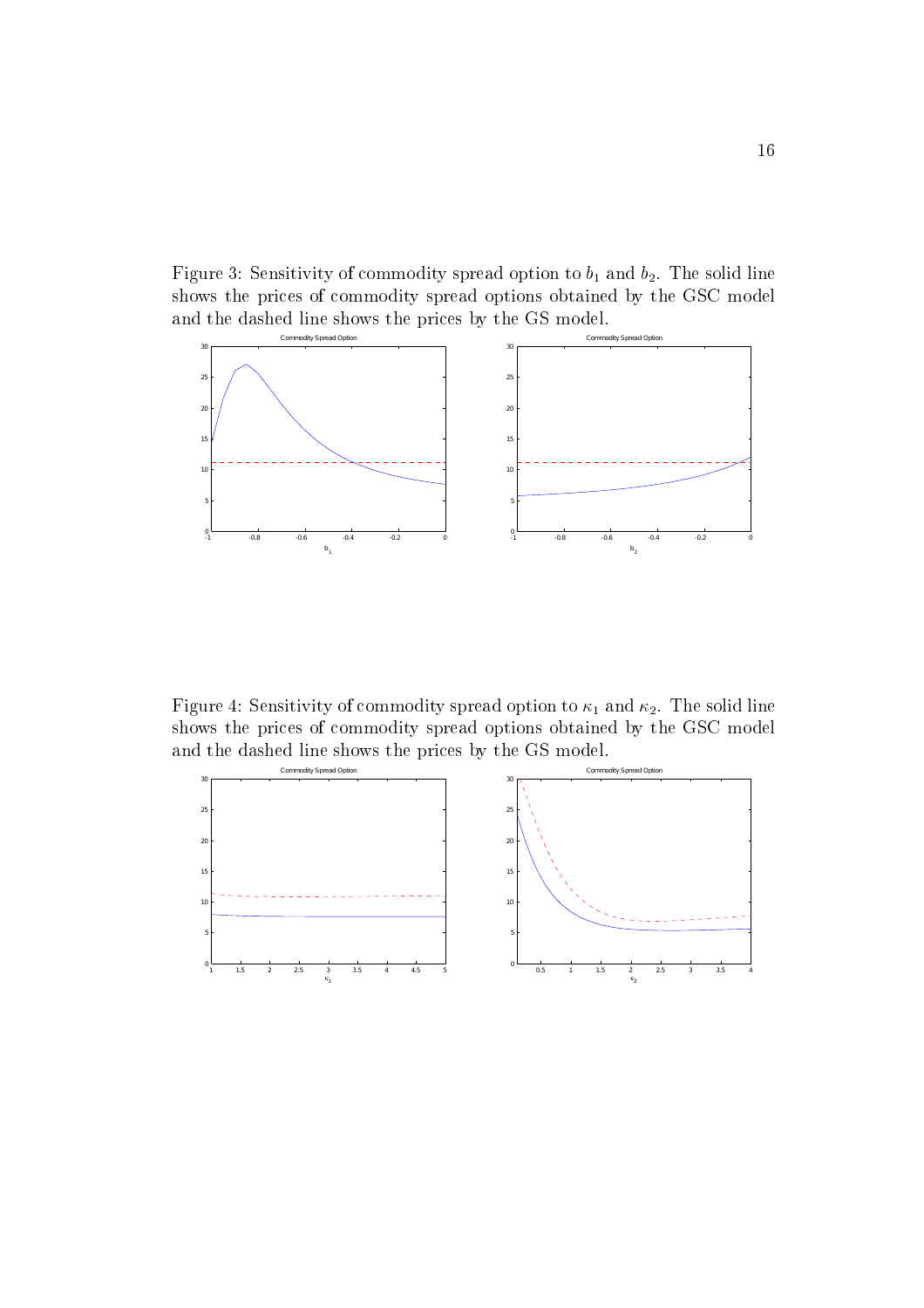Figure 3: Sensitivity of commodity spread option to  $b_1$  and  $b_2$ . The solid line shows the prices of commodity spread options obtained by the GSC model and the dashed line shows the prices by the GS model.



Figure 4: Sensitivity of commodity spread option to  $\kappa_1$  and  $\kappa_2.$  The solid line shows the prices of commodity spread options obtained by the GSC model and the dashed line shows the prices by the GS model.

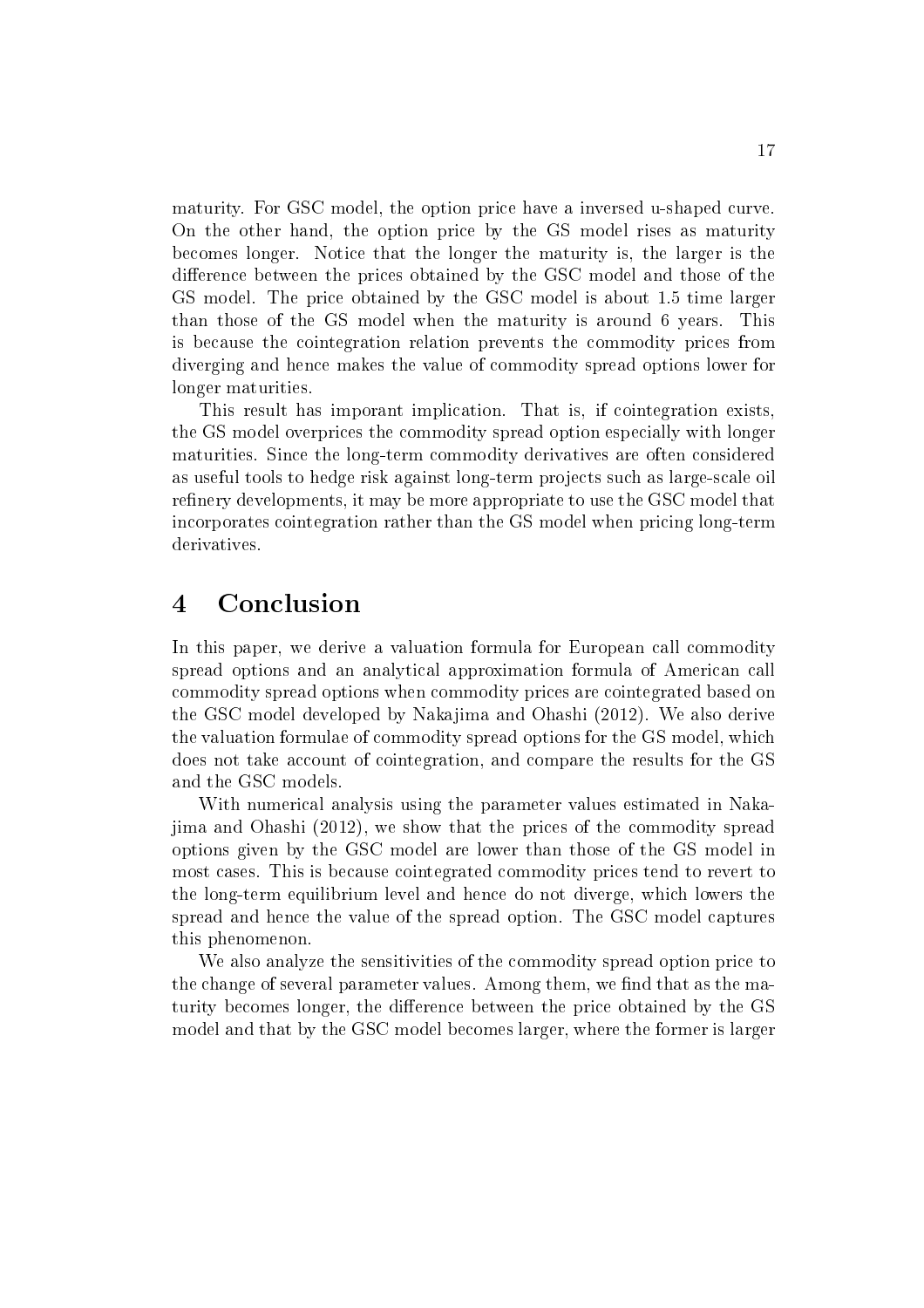maturity. For GSC model, the option price have a inversed u-shaped curve. On the other hand, the option price by the GS model rises as maturity becomes longer. Notice that the longer the maturity is, the larger is the difference between the prices obtained by the GSC model and those of the GS model. The price obtained by the GSC model is about 1.5 time larger than those of the GS model when the maturity is around 6 years. This is because the cointegration relation prevents the commodity prices from diverging and hence makes the value of commodity spread options lower for longer maturities.

This result has imporant implication. That is, if cointegration exists, the GS model overprices the commodity spread option especially with longer maturities. Since the long-term commodity derivatives are often considered as useful tools to hedge risk against long-term projects such as large-scale oil refinery developments, it may be more appropriate to use the GSC model that incorporates cointegration rather than the GS model when pricing long-term derivatives.

#### $\overline{4}$ Conclusion

In this paper, we derive a valuation formula for European call commodity spread options and an analytical approximation formula of American call commodity spread options when commodity prices are cointegrated based on the GSC model developed by Nakajima and Ohashi (2012). We also derive the valuation formulae of commodity spread options for the GS model, which does not take account of cointegration, and compare the results for the GS and the GSC models.

With numerical analysis using the parameter values estimated in Nakaiima and Ohashi (2012), we show that the prices of the commodity spread options given by the GSC model are lower than those of the GS model in most cases. This is because cointegrated commodity prices tend to revert to the long-term equilibrium level and hence do not diverge, which lowers the spread and hence the value of the spread option. The GSC model captures this phenomenon.

We also analyze the sensitivities of the commodity spread option price to the change of several parameter values. Among them, we find that as the maturity becomes longer, the difference between the price obtained by the GS model and that by the GSC model becomes larger, where the former is larger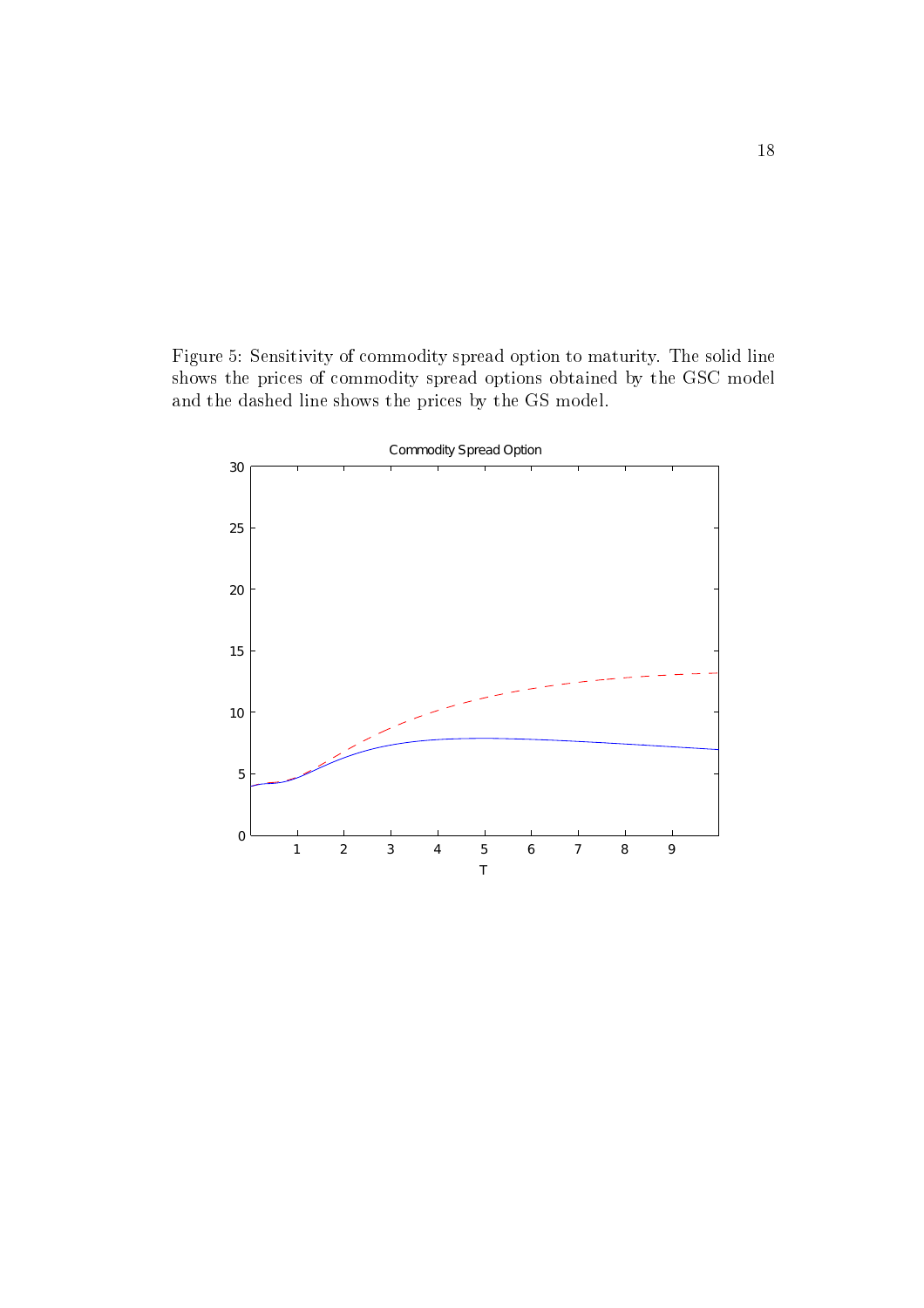Figure 5: Sensitivity of commodity spread option to maturity. The solid line shows the prices of commodity spread options obtained by the GSC model and the dashed line shows the prices by the GS model.

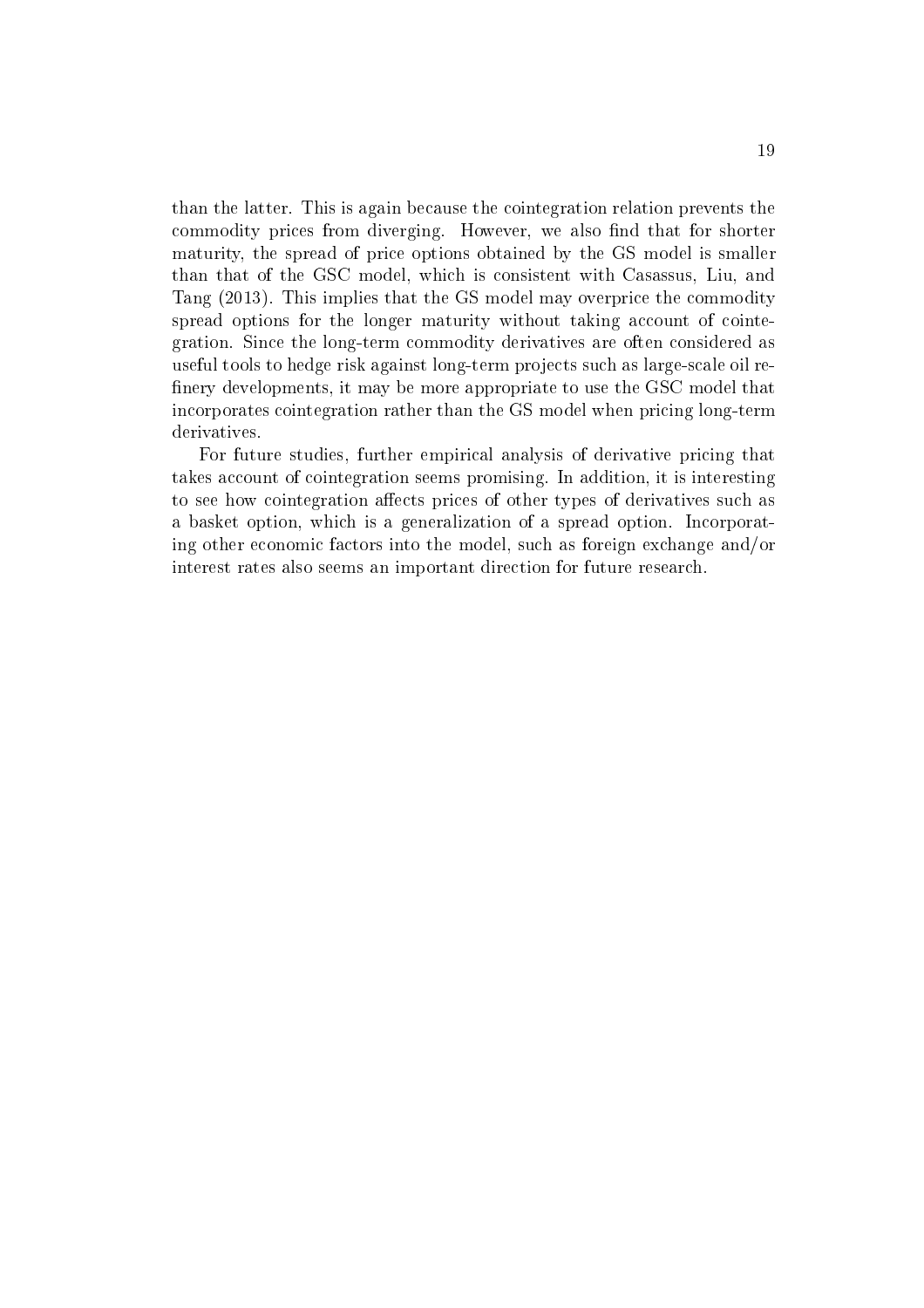than the latter. This is again because the cointegration relation prevents the commodity prices from diverging. However, we also find that for shorter maturity, the spread of price options obtained by the GS model is smaller than that of the GSC model, which is consistent with Casassus, Liu, and Tang (2013). This implies that the GS model may overprice the commodity spread options for the longer maturity without taking account of cointegration. Since the long-term commodity derivatives are often considered as useful tools to hedge risk against long-term projects such as large-scale oil refinery developments, it may be more appropriate to use the GSC model that incorporates cointegration rather than the GS model when pricing long-term derivatives.

For future studies, further empirical analysis of derivative pricing that takes account of cointegration seems promising. In addition, it is interesting to see how cointegration affects prices of other types of derivatives such as a basket option, which is a generalization of a spread option. Incorporating other economic factors into the model, such as foreign exchange and/or interest rates also seems an important direction for future research.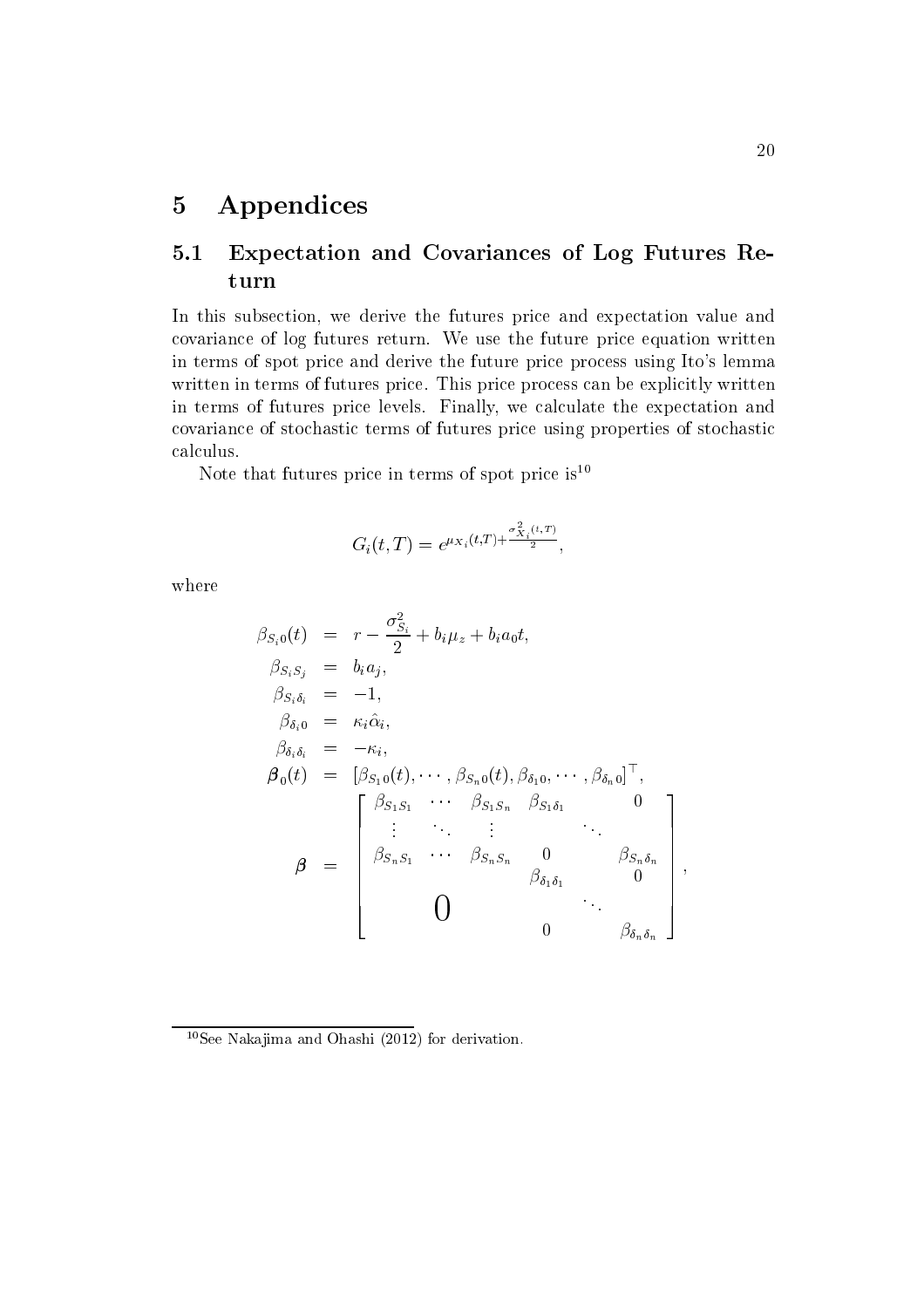### Appendices  $\overline{5}$

## Expectation and Covariances of Log Futures Re- $5.1$ turn

In this subsection, we derive the futures price and expectation value and covariance of log futures return. We use the future price equation written in terms of spot price and derive the future price process using Ito's lemma written in terms of futures price. This price process can be explicitly written in terms of futures price levels. Finally, we calculate the expectation and covariance of stochastic terms of futures price using properties of stochastic calculus.

Note that futures price in terms of spot price is  $10$ 

$$
G_i(t,T) = e^{\mu_{X_i}(t,T) + \frac{\sigma_{X_i}^2(t,T)}{2}},
$$

where

$$
\beta_{S_i0}(t) = r - \frac{\sigma_{S_i}^2}{2} + b_i \mu_z + b_i a_0 t,
$$
  
\n
$$
\beta_{S_i S_j} = b_i a_j,
$$
  
\n
$$
\beta_{S_i \delta_i} = -1,
$$
  
\n
$$
\beta_{\delta_i 0} = \kappa_i \hat{\alpha}_i,
$$
  
\n
$$
\beta_{\delta_i \delta_i} = -\kappa_i,
$$
  
\n
$$
\beta_0(t) = [\beta_{S_10}(t), \cdots, \beta_{S_n0}(t), \beta_{\delta_1 0}, \cdots, \beta_{\delta_n 0}]^\top,
$$
  
\n
$$
\beta = \begin{bmatrix}\n\beta_{S_1 S_1} & \cdots & \beta_{S_1 S_n} & \beta_{S_1 \delta_1} & 0 \\
\vdots & \ddots & \vdots & \ddots & \vdots \\
\beta_{S_n S_1} & \cdots & \beta_{S_n S_n} & 0 & \beta_{S_n \delta_n} \\
\vdots & \ddots & \vdots & \ddots & \vdots \\
\beta_{\delta_n \delta_1} & 0 & \beta_{\delta_n \delta_n}\n\end{bmatrix},
$$

 $10$ See Nakajima and Ohashi (2012) for derivation.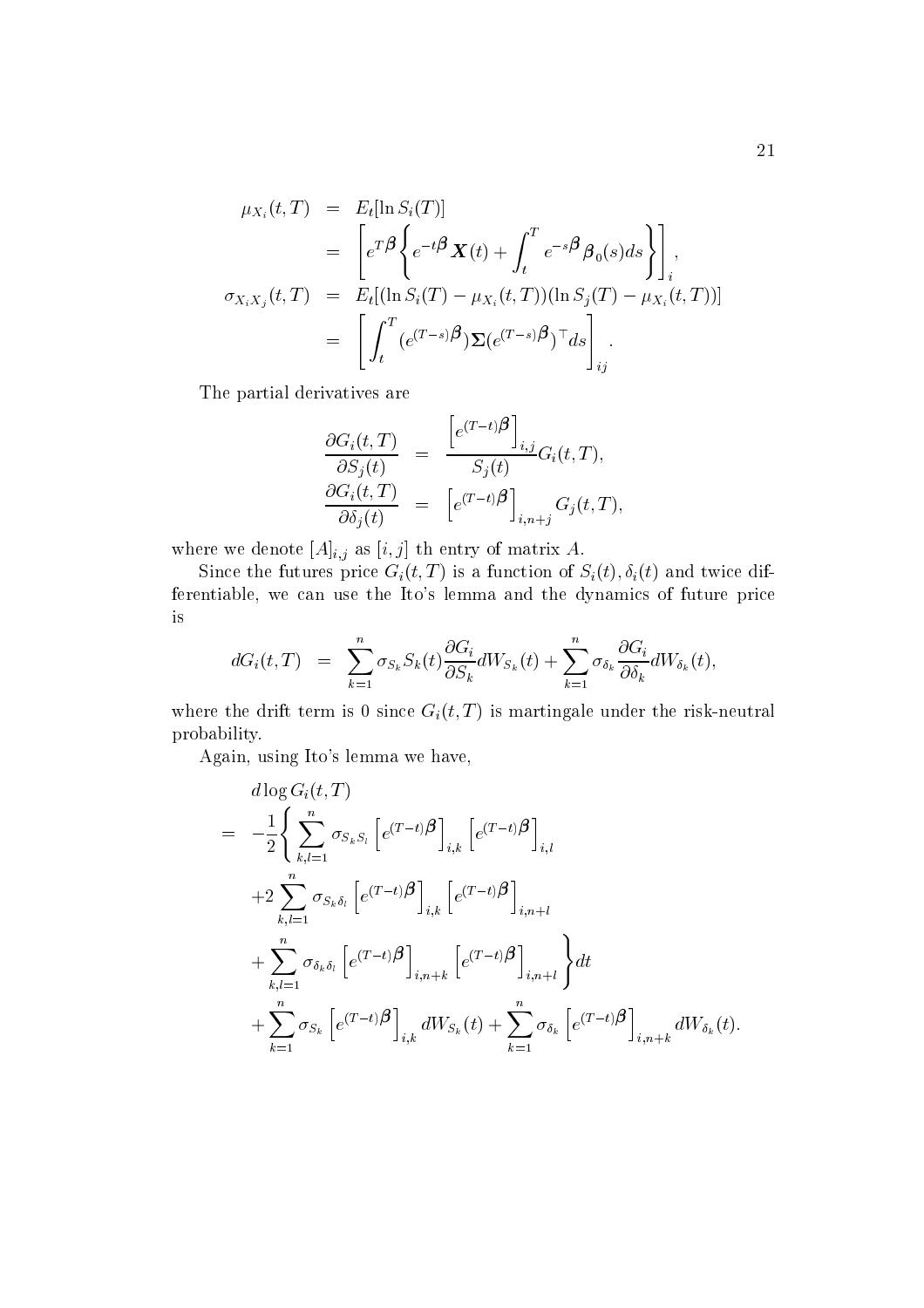$$
\mu_{X_i}(t,T) = E_t[\ln S_i(T)]
$$
  
\n
$$
= \left[ e^{T\beta} \left\{ e^{-t\beta} \mathbf{X}(t) + \int_t^T e^{-s\beta} \beta_0(s) ds \right\} \right]_i,
$$
  
\n
$$
\sigma_{X_i X_j}(t,T) = E_t[(\ln S_i(T) - \mu_{X_i}(t,T))(\ln S_j(T) - \mu_{X_i}(t,T))]
$$
  
\n
$$
= \left[ \int_t^T (e^{(T-s)\beta}) \Sigma(e^{(T-s)\beta})^\top ds \right]_{ij}
$$

The partial derivatives are

$$
\frac{\partial G_i(t,T)}{\partial S_j(t)} = \frac{\left[e^{(T-t)}\beta\right]_{i,j}}{S_j(t)} G_i(t,T),
$$

$$
\frac{\partial G_i(t,T)}{\partial \delta_j(t)} = \left[e^{(T-t)}\beta\right]_{i,n+j} G_j(t,T)
$$

where we denote  $[A]_{i,j}$  as  $[i, j]$  th entry of matrix A.

Since the futures price  $G_i(t, T)$  is a function of  $S_i(t), \delta_i(t)$  and twice differentiable, we can use the Ito's lemma and the dynamics of future price is

$$
dG_i(t,T) = \sum_{k=1}^n \sigma_{S_k} S_k(t) \frac{\partial G_i}{\partial S_k} dW_{S_k}(t) + \sum_{k=1}^n \sigma_{\delta_k} \frac{\partial G_i}{\partial \delta_k} dW_{\delta_k}(t)
$$

where the drift term is 0 since  $G_i(t, T)$  is martingale under the risk-neutral probability.

Again, using Ito's lemma we have,

$$
d \log G_i(t, T)
$$
  
=  $-\frac{1}{2} \Biggl\{ \sum_{k,l=1}^n \sigma_{S_k S_l} \Biggl[ e^{(T-t)} \beta \Biggr]_{i,k} \Biggl[ e^{(T-t)} \beta \Biggr]_{i,l}$   
+  $2 \sum_{k,l=1}^n \sigma_{S_k \delta_l} \Biggl[ e^{(T-t)} \beta \Biggr]_{i,k} \Biggl[ e^{(T-t)} \beta \Biggr]_{i,n+l}$   
+  $\sum_{k,l=1}^n \sigma_{\delta_k \delta_l} \Biggl[ e^{(T-t)} \beta \Biggr]_{i,n+k} \Biggl[ e^{(T-t)} \beta \Biggr]_{i,n+l} \Biggr\} dt$   
+  $\sum_{k=1}^n \sigma_{S_k} \Biggl[ e^{(T-t)} \beta \Biggr]_{i,k} dW_{S_k}(t) + \sum_{k=1}^n \sigma_{\delta_k} \Biggl[ e^{(T-t)} \beta \Biggr]_{i,n+k} dW_{\delta_k}(t).$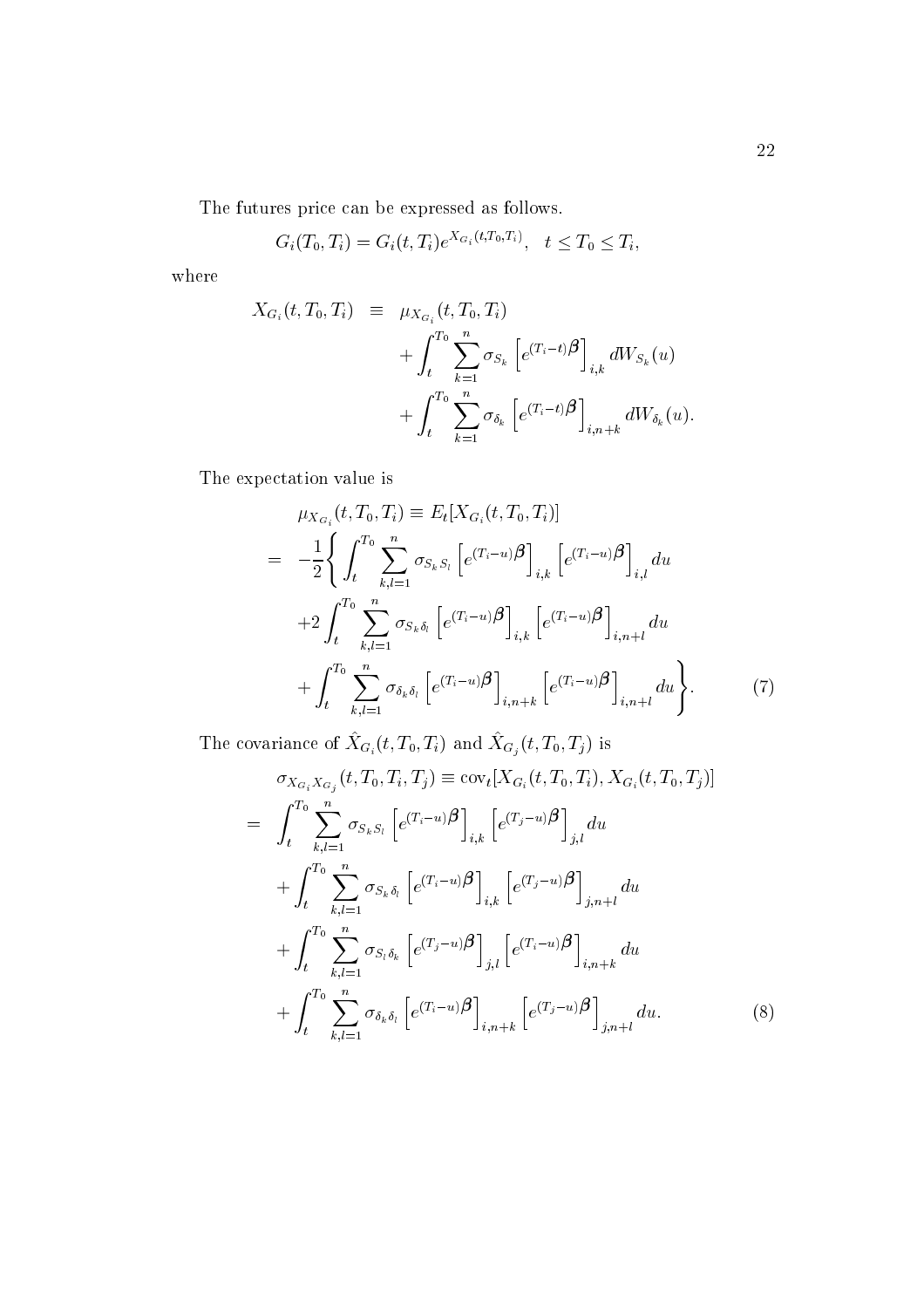The futures price can be expressed as follows.

$$
G_i(T_0, T_i) = G_i(t, T_i) e^{X_{G_i}(t, T_0, T_i)}, \quad t \le T_0 \le T_i
$$

where

$$
X_{G_i}(t, T_0, T_i) = \mu_{X_{G_i}}(t, T_0, T_i)
$$
  
+ 
$$
\int_t^{T_0} \sum_{k=1}^n \sigma_{S_k} \left[ e^{(T_i - t)} \beta \right]_{i,k} dW_{S_k}(u)
$$
  
+ 
$$
\int_t^{T_0} \sum_{k=1}^n \sigma_{\delta_k} \left[ e^{(T_i - t)} \beta \right]_{i,n+k} dW_{\delta_k}(u).
$$

The expectation value is

$$
\mu_{X_{G_i}}(t, T_0, T_i) \equiv E_t[X_{G_i}(t, T_0, T_i)]
$$
\n
$$
= -\frac{1}{2} \Biggl\{ \int_t^{T_0} \sum_{k,l=1}^n \sigma_{S_k S_l} \left[ e^{(T_i - u)} \beta \right]_{i,k} \left[ e^{(T_i - u)} \beta \right]_{i,l} du
$$
\n
$$
+ 2 \int_t^{T_0} \sum_{k,l=1}^n \sigma_{S_k \delta_l} \left[ e^{(T_i - u)} \beta \right]_{i,k} \left[ e^{(T_i - u)} \beta \right]_{i,n+l} du
$$
\n
$$
+ \int_t^{T_0} \sum_{k,l=1}^n \sigma_{\delta_k \delta_l} \left[ e^{(T_i - u)} \beta \right]_{i,n+k} \left[ e^{(T_i - u)} \beta \right]_{i,n+l} du \Biggr\}.
$$
\n(7)

The covariance of  $\hat{X}_{G_i}(t,T_0,T_i)$  and  $\hat{X}_{G_j}(t,T_0,T_j)$  is

$$
\sigma_{X_{G_i} X_{G_j}}(t, T_0, T_i, T_j) \equiv \text{cov}_t[X_{G_i}(t, T_0, T_i), X_{G_i}(t, T_0, T_j)]
$$
\n
$$
= \int_t^{T_0} \sum_{k,l=1}^n \sigma_{S_k S_l} \left[ e^{(T_i - u)} \beta \right]_{i,k} \left[ e^{(T_j - u)} \beta \right]_{j,l} du
$$
\n
$$
+ \int_t^{T_0} \sum_{k,l=1}^n \sigma_{S_k \delta_l} \left[ e^{(T_i - u)} \beta \right]_{i,k} \left[ e^{(T_j - u)} \beta \right]_{j,n+l} du
$$
\n
$$
+ \int_t^{T_0} \sum_{k,l=1}^n \sigma_{S_l \delta_k} \left[ e^{(T_j - u)} \beta \right]_{j,l} \left[ e^{(T_i - u)} \beta \right]_{i,n+k} du
$$
\n
$$
+ \int_t^{T_0} \sum_{k,l=1}^n \sigma_{\delta_k \delta_l} \left[ e^{(T_i - u)} \beta \right]_{i,n+k} \left[ e^{(T_j - u)} \beta \right]_{j,n+l} du.
$$
\n(8)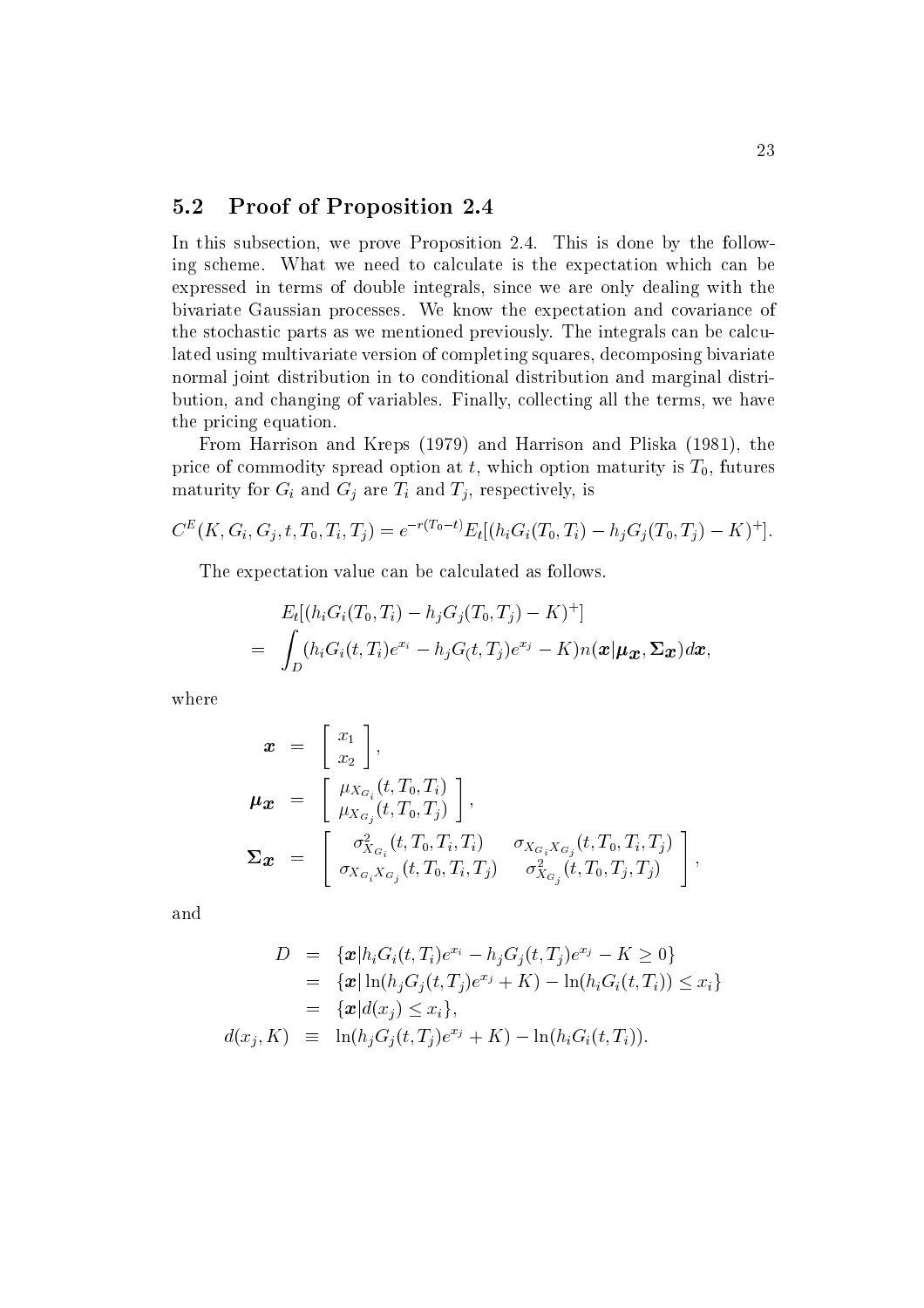#### $5.2$ **Proof of Proposition 2.4**

In this subsection, we prove Proposition 2.4. This is done by the following scheme. What we need to calculate is the expectation which can be expressed in terms of double integrals, since we are only dealing with the bivariate Gaussian processes. We know the expectation and covariance of the stochastic parts as we mentioned previously. The integrals can be calculated using multivariate version of completing squares, decomposing bivariate normal joint distribution in to conditional distribution and marginal distribution, and changing of variables. Finally, collecting all the terms, we have the pricing equation.

From Harrison and Kreps (1979) and Harrison and Pliska (1981), the price of commodity spread option at t, which option maturity is  $T_0$ , futures maturity for  $G_i$  and  $G_j$  are  $T_i$  and  $T_j$ , respectively, is

$$
C^{E}(K, G_i, G_j, t, T_0, T_i, T_j) = e^{-r(T_0 - t)} E_t [(h_i G_i(T_0, T_i) - h_j G_j(T_0, T_j) - K)^+].
$$

The expectation value can be calculated as follows.

$$
E_t[(h_iG_i(T_0,T_i)-h_jG_j(T_0,T_j)-K)^+]
$$
  
= 
$$
\int_D (h_iG_i(t,T_i)e^{x_i}-h_jG_(t,T_j)e^{x_j}-K)n(\boldsymbol{x}|\boldsymbol{\mu_x},\boldsymbol{\Sigma_x})d\boldsymbol{x},
$$

where

$$
\mathbf{x} = \begin{bmatrix} x_1 \\ x_2 \end{bmatrix},
$$
  
\n
$$
\mathbf{\mu}_{\mathbf{x}} = \begin{bmatrix} \mu_{X_{G_i}}(t, T_0, T_i) \\ \mu_{X_{G_j}}(t, T_0, T_j) \end{bmatrix},
$$
  
\n
$$
\Sigma_{\mathbf{x}} = \begin{bmatrix} \sigma_{X_{G_i}}^2(t, T_0, T_i, T_i) & \sigma_{X_{G_i}X_{G_j}}(t, T_0, T_i, T_j) \\ \sigma_{X_{G_i}X_{G_j}}(t, T_0, T_i, T_j) & \sigma_{X_{G_j}}^2(t, T_0, T_j, T_j) \end{bmatrix},
$$

and

$$
D = \{ \mathbf{x} | h_i G_i(t, T_i) e^{x_i} - h_j G_j(t, T_j) e^{x_j} - K \ge 0 \}
$$
  
\n
$$
= \{ \mathbf{x} | \ln(h_j G_j(t, T_j) e^{x_j} + K) - \ln(h_i G_i(t, T_i)) \le x_i \}
$$
  
\n
$$
= \{ \mathbf{x} | d(x_j) \le x_i \},
$$
  
\n
$$
d(x_j, K) \equiv \ln(h_j G_j(t, T_j) e^{x_j} + K) - \ln(h_i G_i(t, T_i)).
$$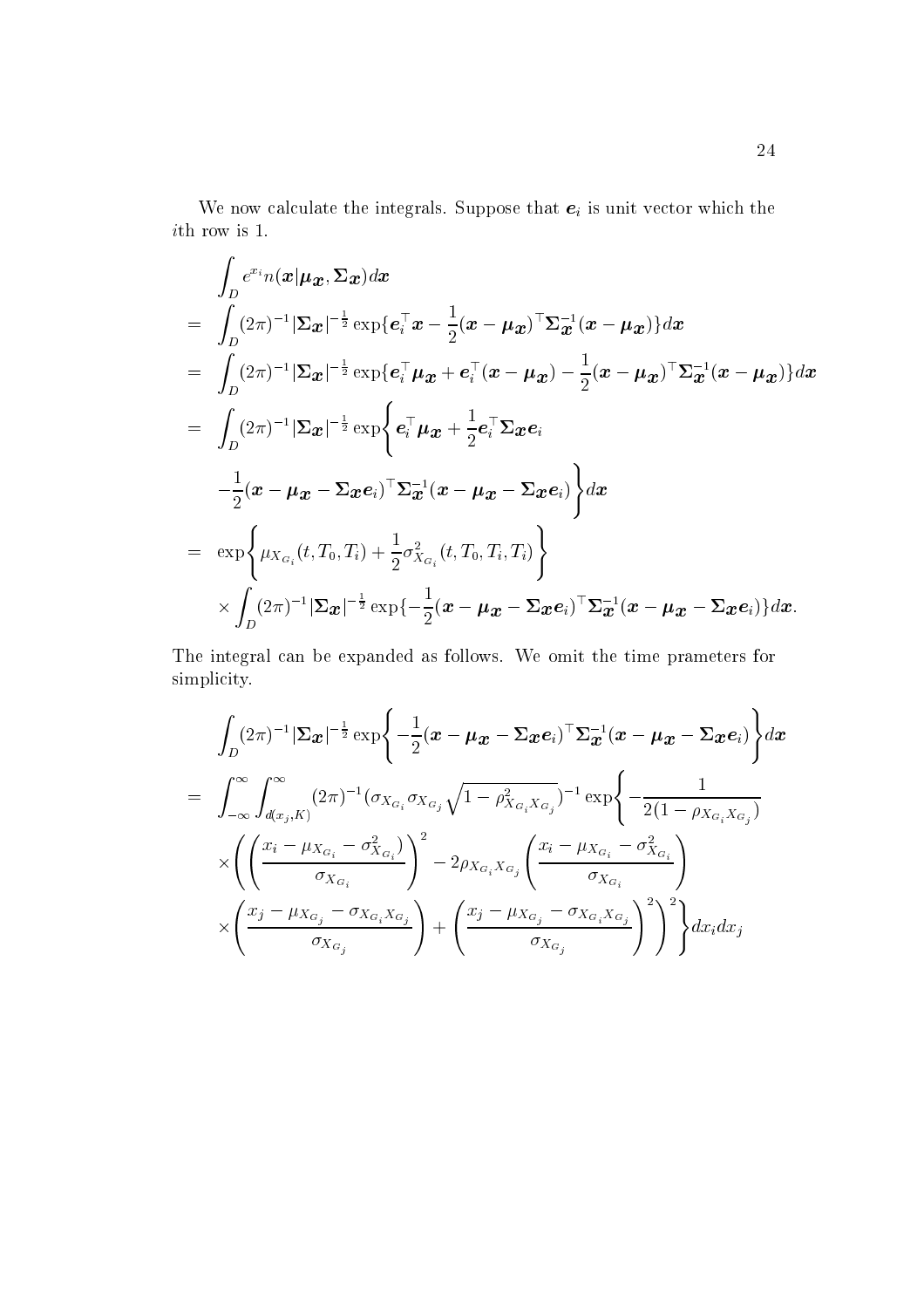We now calculate the integrals. Suppose that  $e_i$  is unit vector which the  $i\mathrm{th}$  row is 1.

$$
\int_{D} e^{x_i} n(\boldsymbol{x} | \boldsymbol{\mu}_{\boldsymbol{x}}, \boldsymbol{\Sigma}_{\boldsymbol{x}}) d\boldsymbol{x} \n= \int_{D} (2\pi)^{-1} |\boldsymbol{\Sigma}_{\boldsymbol{x}}|^{-\frac{1}{2}} \exp\{e_i^{\top} \boldsymbol{x} - \frac{1}{2} (\boldsymbol{x} - \boldsymbol{\mu}_{\boldsymbol{x}})^{\top} \boldsymbol{\Sigma}_{\boldsymbol{x}}^{-1} (\boldsymbol{x} - \boldsymbol{\mu}_{\boldsymbol{x}})\} d\boldsymbol{x} \n= \int_{D} (2\pi)^{-1} |\boldsymbol{\Sigma}_{\boldsymbol{x}}|^{-\frac{1}{2}} \exp\{e_i^{\top} \boldsymbol{\mu}_{\boldsymbol{x}} + e_i^{\top} (\boldsymbol{x} - \boldsymbol{\mu}_{\boldsymbol{x}}) - \frac{1}{2} (\boldsymbol{x} - \boldsymbol{\mu}_{\boldsymbol{x}})^{\top} \boldsymbol{\Sigma}_{\boldsymbol{x}}^{-1} (\boldsymbol{x} - \boldsymbol{\mu}_{\boldsymbol{x}})\} d\boldsymbol{x} \n= \int_{D} (2\pi)^{-1} |\boldsymbol{\Sigma}_{\boldsymbol{x}}|^{-\frac{1}{2}} \exp\{e_i^{\top} \boldsymbol{\mu}_{\boldsymbol{x}} + \frac{1}{2} e_i^{\top} \boldsymbol{\Sigma}_{\boldsymbol{x}} e_i \n- \frac{1}{2} (\boldsymbol{x} - \boldsymbol{\mu}_{\boldsymbol{x}} - \boldsymbol{\Sigma}_{\boldsymbol{x}} e_i)^{\top} \boldsymbol{\Sigma}_{\boldsymbol{x}}^{-1} (\boldsymbol{x} - \boldsymbol{\mu}_{\boldsymbol{x}} - \boldsymbol{\Sigma}_{\boldsymbol{x}} e_i) \} d\boldsymbol{x} \n= \exp\{ \mu_{X_{G_i}}(t, T_0, T_i) + \frac{1}{2} \sigma_{X_{G_i}}^2(t, T_0, T_i, T_i) \} \n\times \int_{D} (2\pi)^{-1} |\boldsymbol{\Sigma}_{\boldsymbol{x}}|^{-\frac{1}{2}} \exp\{-\frac{1}{2} (\boldsymbol{x} - \boldsymbol{\mu}_{\boldsymbol{x}} - \boldsymbol{\Sigma}_{\boldsymbol{x}} e_i)^{\top} \boldsymbol{\Sigma}_{\boldsymbol{x}}^{-1} (\boldsymbol{x} - \boldsymbol{\mu}_{\boldsymbol{x}} - \boldsymbol{\Sigma}_{\boldsymbol{x}} e_i) \} d\boldsymbol{x}.
$$

The integral can be expanded as follows. We omit the time prameters for simplicity.

$$
\int_{D} (2\pi)^{-1} |\Sigma_{\boldsymbol{x}}|^{-\frac{1}{2}} \exp \left\{-\frac{1}{2} (\boldsymbol{x} - \boldsymbol{\mu}_{\boldsymbol{x}} - \Sigma_{\boldsymbol{x}} \boldsymbol{e}_i)^{\top} \Sigma_{\boldsymbol{x}}^{-1} (\boldsymbol{x} - \boldsymbol{\mu}_{\boldsymbol{x}} - \Sigma_{\boldsymbol{x}} \boldsymbol{e}_i) \right\} d\boldsymbol{x}
$$
\n
$$
= \int_{-\infty}^{\infty} \int_{d(x_j,K)}^{\infty} (2\pi)^{-1} (\sigma_{X_{G_i}} \sigma_{X_{G_j}} \sqrt{1 - \rho_{X_{G_i}X_{G_j}}^2})^{-1} \exp \left\{-\frac{1}{2(1 - \rho_{X_{G_i}X_{G_j}})}
$$
\n
$$
\times \left( \left( \frac{x_i - \mu_{X_{G_i}} - \sigma_{X_{G_i}}^2}{\sigma_{X_{G_i}}} \right)^2 - 2\rho_{X_{G_i}X_{G_j}} \left( \frac{x_i - \mu_{X_{G_i}} - \sigma_{X_{G_i}}^2}{\sigma_{X_{G_i}}} \right)^2 \right)
$$
\n
$$
\times \left( \frac{x_j - \mu_{X_{G_j}} - \sigma_{X_{G_i}X_{G_j}}}{\sigma_{X_{G_j}}} \right) + \left( \frac{x_j - \mu_{X_{G_j}} - \sigma_{X_{G_i}X_{G_j}}}{\sigma_{X_{G_j}}} \right)^2 \right)^2 \left\} d\boldsymbol{x}_i d\boldsymbol{x}_j
$$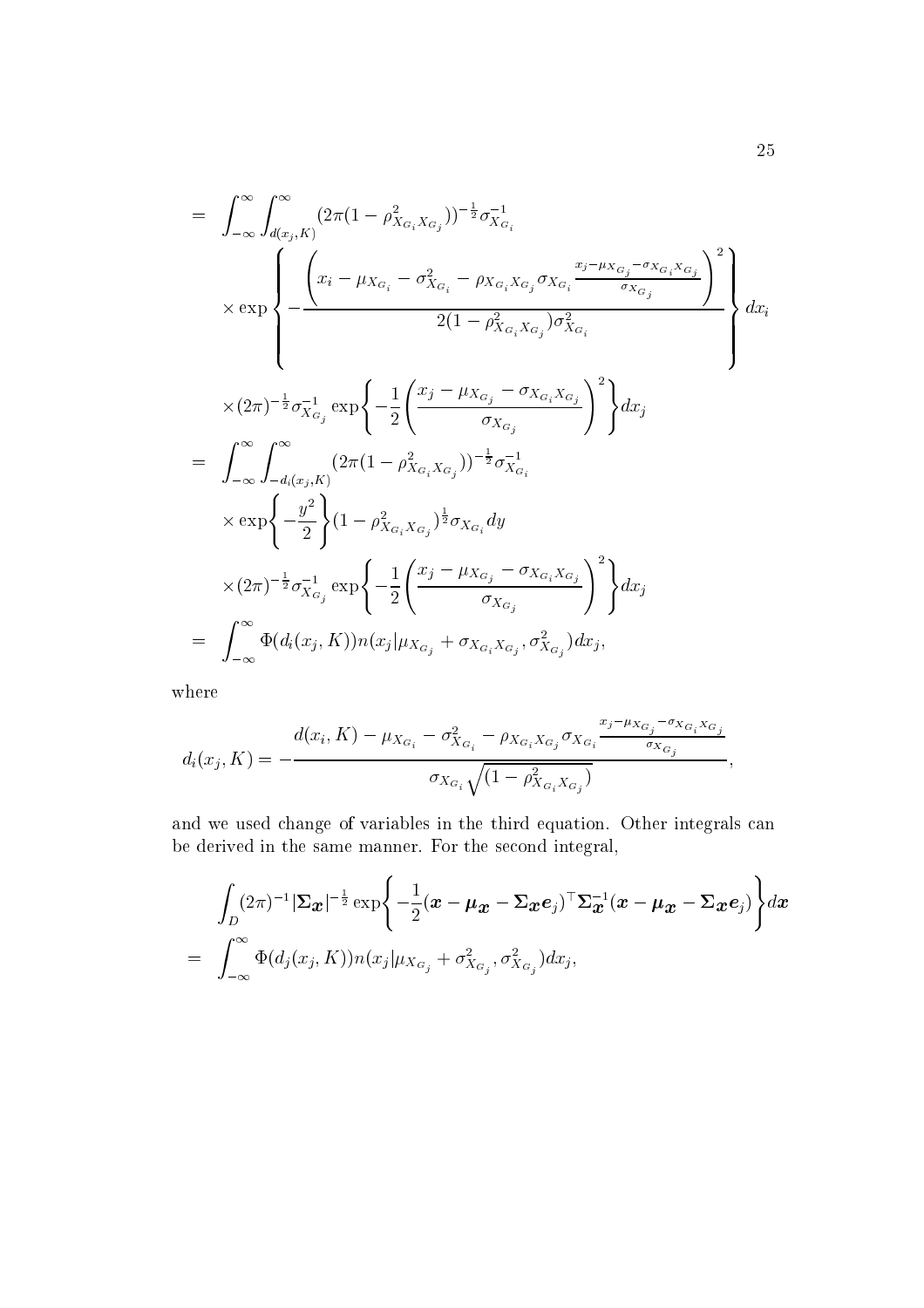$$
= \int_{-\infty}^{\infty} \int_{d(x_{j}, K)}^{\infty} (2\pi (1 - \rho_{X_{G_{i}}X_{G_{j}}}^{2}))^{-\frac{1}{2}} \sigma_{X_{G_{i}}}^{-1}
$$
  
\n
$$
\times \exp \left\{ - \frac{\left(x_{i} - \mu_{X_{G_{i}}} - \sigma_{X_{G_{i}}}^{2} - \rho_{X_{G_{i}}X_{G_{j}}} \sigma_{X_{G_{i}}} \frac{x_{j} - \mu_{X_{G_{j}}} - \sigma_{X_{G_{i}}X_{G_{j}}}}{\sigma_{X_{G_{j}}}}\right)^{2}}{2(1 - \rho_{X_{G_{i}}X_{G_{j}}})\sigma_{X_{G_{i}}}^{2}}
$$
  
\n
$$
\times (2\pi)^{-\frac{1}{2}} \sigma_{X_{G_{j}}}^{-1} \exp \left\{ -\frac{1}{2} \left( \frac{x_{j} - \mu_{X_{G_{j}}} - \sigma_{X_{G_{i}}X_{G_{j}}}}{\sigma_{X_{G_{j}}}} \right)^{2} \right\} dx_{j}
$$
  
\n
$$
= \int_{-\infty}^{\infty} \int_{-d_{i}(x_{j}, K)}^{\infty} (2\pi (1 - \rho_{X_{G_{i}}X_{G_{j}}})^{-\frac{1}{2}} \sigma_{X_{G_{i}}}^{-1}
$$
  
\n
$$
\times \exp \left\{ -\frac{y^{2}}{2} \right\} (1 - \rho_{X_{G_{i}}X_{G_{j}}}^{2})^{\frac{1}{2}} \sigma_{X_{G_{i}}} dy
$$
  
\n
$$
\times (2\pi)^{-\frac{1}{2}} \sigma_{X_{G_{j}}}^{-1} \exp \left\{ -\frac{1}{2} \left( \frac{x_{j} - \mu_{X_{G_{j}}} - \sigma_{X_{G_{i}}X_{G_{j}}}}{\sigma_{X_{G_{j}}}} \right)^{2} \right\} dx_{j}
$$
  
\n
$$
= \int_{-\infty}^{\infty} \Phi(d_{i}(x_{j}, K)) n(x_{j} | \mu_{X_{G_{j}}} + \sigma_{X_{G_{i}}X_{G_{j}}}, \sigma_{X_{G_{j}}}^{2}) dx_{j},
$$

where

$$
d_i(x_j, K) = -\frac{d(x_i, K) - \mu_{X_{G_i}} - \sigma_{X_{G_i}}^2 - \rho_{X_{G_i}X_{G_j}}\sigma_{X_{G_i}}\frac{x_j - \mu_{X_{G_j}} - \sigma_{X_{G_i}X_{G_j}}}{\sigma_{X_{G_j}}}}{\sigma_{X_{G_i}}\sqrt{(1 - \rho_{X_{G_i}X_{G_j}}^2)}},
$$

and we used change of variables in the third equation. Other integrals can be derived in the same manner. For the second integral,

$$
\int_{D} (2\pi)^{-1} |\Sigma_{\boldsymbol{x}}|^{-\frac{1}{2}} \exp \left\{-\frac{1}{2}(\boldsymbol{x} - \boldsymbol{\mu}_{\boldsymbol{x}} - \Sigma_{\boldsymbol{x}} \boldsymbol{e}_j)^{\top} \Sigma_{\boldsymbol{x}}^{-1} (\boldsymbol{x} - \boldsymbol{\mu}_{\boldsymbol{x}} - \Sigma_{\boldsymbol{x}} \boldsymbol{e}_j)\right\} d\boldsymbol{x}
$$
\n
$$
= \int_{-\infty}^{\infty} \Phi(d_j(x_j, K)) n(x_j | \mu_{X_{G_j}} + \sigma_{X_{G_j}}^2, \sigma_{X_{G_j}}^2) d x_j,
$$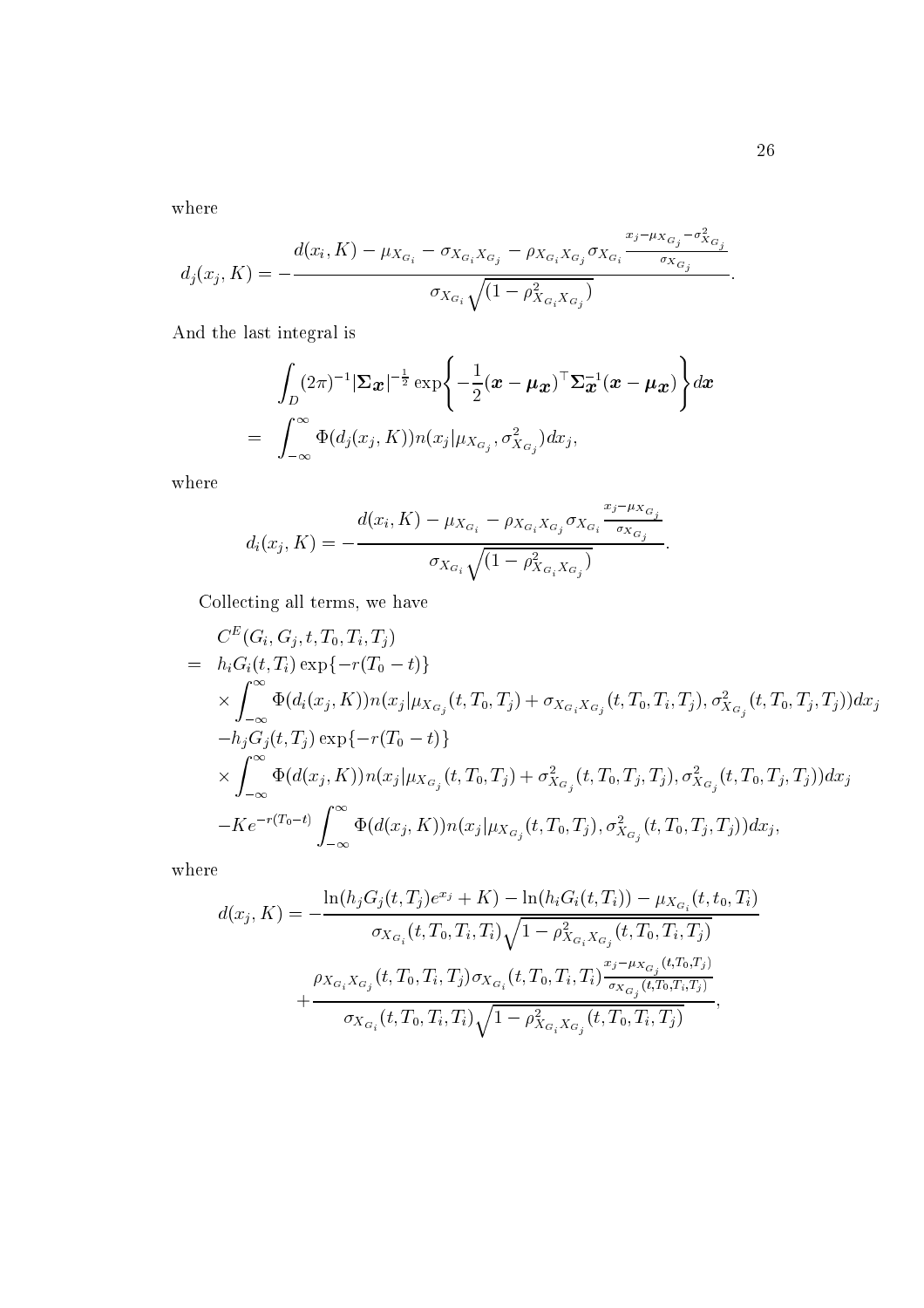where

$$
d_j(x_j, K) = -\frac{d(x_i, K) - \mu_{X_{G_i}} - \sigma_{X_{G_i}X_{G_j}} - \rho_{X_{G_i}X_{G_j}}\sigma_{X_{G_i}}\frac{x_j - \mu_{X_{G_j}} - \sigma_{X_{G_j}}^2}{\sigma_{X_{G_j}}}}{\sigma_{X_{G_i}}\sqrt{(1 - \rho_{X_{G_i}X_{G_j}}^2)}}.
$$

And the last integral is

$$
\int_{D} (2\pi)^{-1} |\Sigma_{\boldsymbol{x}}|^{-\frac{1}{2}} \exp \left\{-\frac{1}{2}(\boldsymbol{x} - \boldsymbol{\mu}_{\boldsymbol{x}})^{\top} \Sigma_{\boldsymbol{x}}^{-1}(\boldsymbol{x} - \boldsymbol{\mu}_{\boldsymbol{x}})\right\} d\boldsymbol{x}
$$
\n
$$
= \int_{-\infty}^{\infty} \Phi(d_j(x_j, K)) n(x_j | \mu_{X_{G_j}}, \sigma_{X_{G_j}}^2) dx_j,
$$

where

$$
d_i(x_j, K) = -\frac{d(x_i, K) - \mu_{X_{G_i}} - \rho_{X_{G_i}X_{G_j}} \sigma_{X_{G_i}} \frac{x_j - \mu_{X_{G_j}}}{\sigma_{X_{G_j}}}}{\sigma_{X_{G_i}} \sqrt{(1 - \rho_{X_{G_i}X_{G_j}}^2)}}.
$$

Collecting all terms, we have

$$
C^{E}(G_{i}, G_{j}, t, T_{0}, T_{i}, T_{j})
$$
\n
$$
= h_{i}G_{i}(t, T_{i}) \exp\{-r(T_{0} - t)\}\
$$
\n
$$
\times \int_{-\infty}^{\infty} \Phi(d_{i}(x_{j}, K)) n(x_{j} | \mu_{X_{G_{j}}}(t, T_{0}, T_{j}) + \sigma_{X_{G_{i}}X_{G_{j}}}(t, T_{0}, T_{i}, T_{j}), \sigma_{X_{G_{j}}}^{2}(t, T_{0}, T_{j}, T_{j})) dx_{j}
$$
\n
$$
-h_{j}G_{j}(t, T_{j}) \exp\{-r(T_{0} - t)\}\
$$
\n
$$
\times \int_{-\infty}^{\infty} \Phi(d(x_{j}, K)) n(x_{j} | \mu_{X_{G_{j}}}(t, T_{0}, T_{j}) + \sigma_{X_{G_{j}}}^{2}(t, T_{0}, T_{j}, T_{j}), \sigma_{X_{G_{j}}}^{2}(t, T_{0}, T_{j}, T_{j})) dx_{j}
$$
\n
$$
-Ke^{-r(T_{0} - t)} \int_{-\infty}^{\infty} \Phi(d(x_{j}, K)) n(x_{j} | \mu_{X_{G_{j}}}(t, T_{0}, T_{j}), \sigma_{X_{G_{j}}}^{2}(t, T_{0}, T_{j}, T_{j})) dx_{j},
$$

where

$$
d(x_j, K) = -\frac{\ln(h_j G_j(t, T_j)e^{x_j} + K) - \ln(h_i G_i(t, T_i)) - \mu_{X_{G_i}}(t, t_0, T_i)}{\sigma_{X_{G_i}}(t, T_0, T_i, T_i)\sqrt{1 - \rho_{X_{G_i}X_{G_j}}^2(t, T_0, T_i, T_j)}}
$$

$$
+ \frac{\rho_{X_{G_i}X_{G_j}}(t, T_0, T_i, T_j)\sigma_{X_{G_i}}(t, T_0, T_i, T_i)\frac{x_j - \mu_{X_{G_j}}(t, T_0, T_i, T_j)}{\sigma_{X_{G_i}}(t, T_0, T_i, T_j)}}{\sigma_{X_{G_i}}(t, T_0, T_i, T_i)\sqrt{1 - \rho_{X_{G_i}X_{G_j}}^2(t, T_0, T_i, T_j)}},
$$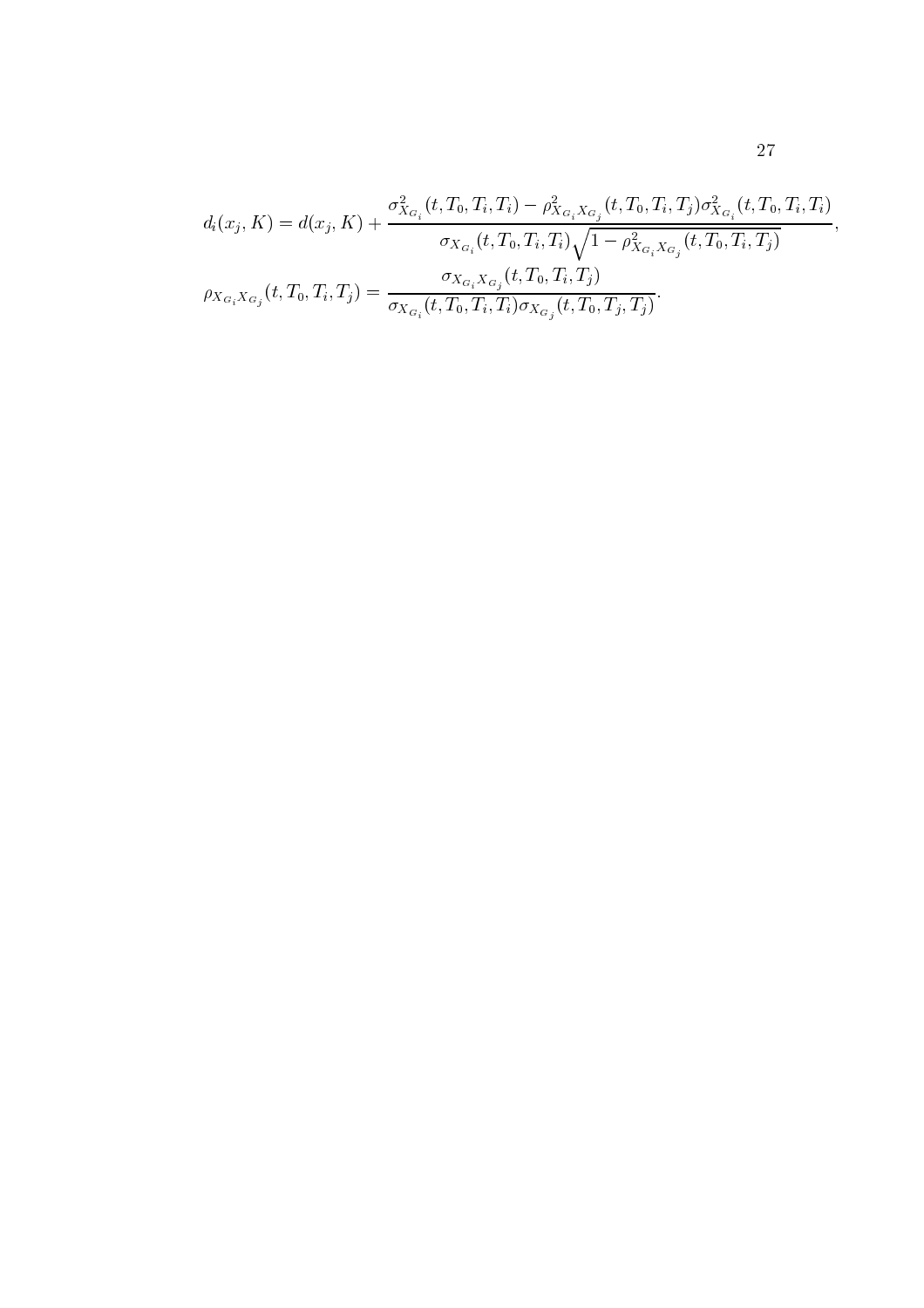$$
d_i(x_j, K) = d(x_j, K) + \frac{\sigma_{X_{G_i}}^2(t, T_0, T_i, T_i) - \rho_{X_{G_i}X_{G_j}}^2(t, T_0, T_i, T_j)\sigma_{X_{G_i}}^2(t, T_0, T_i, T_i)}{\sigma_{X_{G_i}}(t, T_0, T_i, T_i)\sqrt{1 - \rho_{X_{G_i}X_{G_j}}^2(t, T_0, T_i, T_j)}},
$$

$$
\rho_{X_{G_i}X_{G_j}}(t, T_0, T_i, T_j) = \frac{\sigma_{X_{G_i}X_{G_j}}(t, T_0, T_i, T_j)}{\sigma_{X_{G_i}}(t, T_0, T_i, T_i)\sigma_{X_{G_j}}(t, T_0, T_j, T_j)}.
$$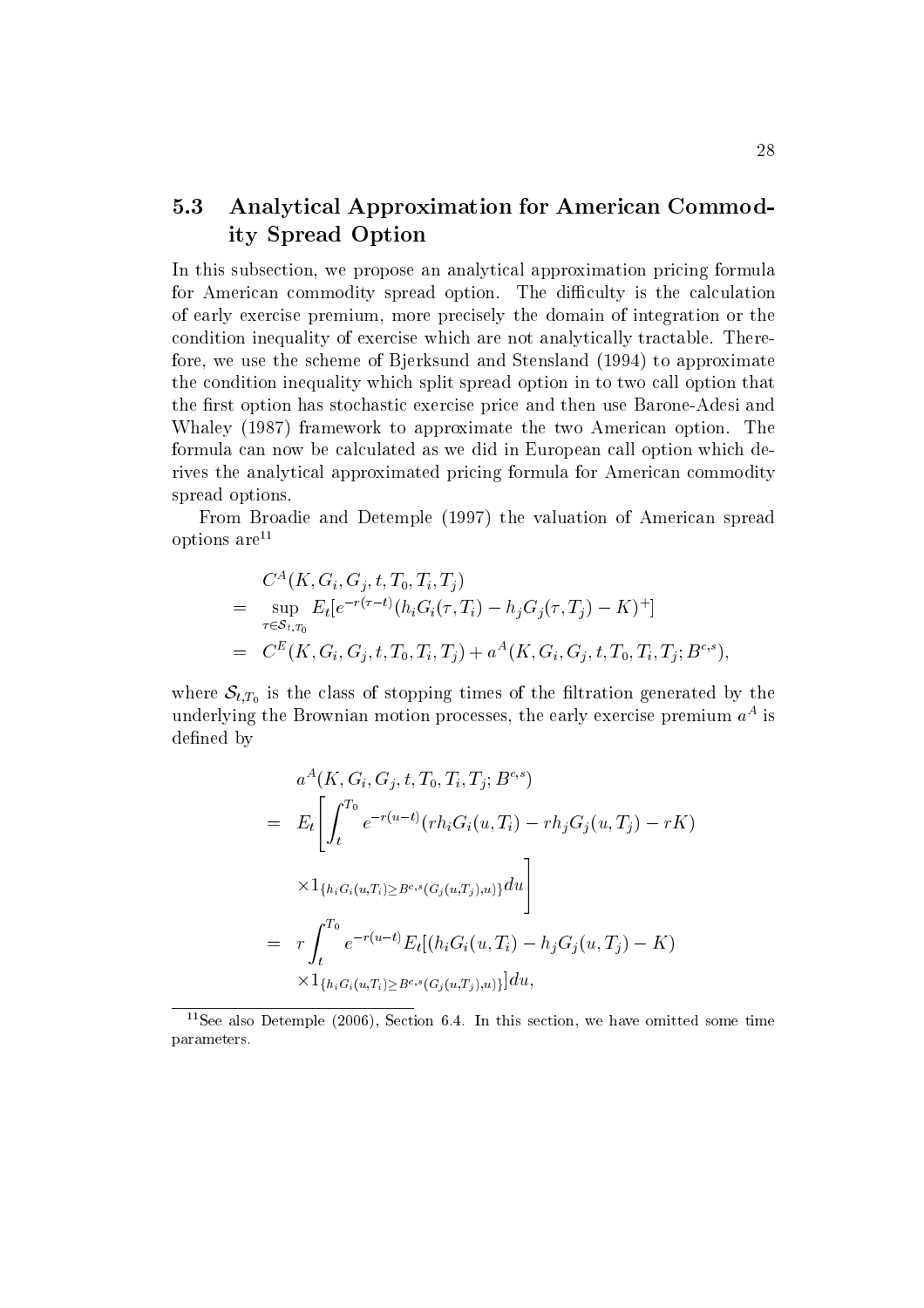### $5.3$ **Analytical Approximation for American Commod**ity Spread Option

In this subsection, we propose an analytical approximation pricing formula for American commodity spread option. The difficulty is the calculation of early exercise premium, more precisely the domain of integration or the condition inequality of exercise which are not analytically tractable. Therefore, we use the scheme of Bjerksund and Stensland (1994) to approximate the condition inequality which split spread option in to two call option that the first option has stochastic exercise price and then use Barone-Adesi and Whaley (1987) framework to approximate the two American option. The formula can now be calculated as we did in European call option which derives the analytical approximated pricing formula for American commodity spread options.

From Broadie and Detemple (1997) the valuation of American spread options  $are^{11}$ 

$$
C^{A}(K, G_{i}, G_{j}, t, T_{0}, T_{i}, T_{j})
$$
\n
$$
= \sup_{\tau \in S_{t,T_{0}}} E_{t}[e^{-r(\tau-t)}(h_{i}G_{i}(\tau, T_{i}) - h_{j}G_{j}(\tau, T_{j}) - K)^{+}]
$$
\n
$$
= C^{E}(K, G_{i}, G_{j}, t, T_{0}, T_{i}, T_{j}) + a^{A}(K, G_{i}, G_{j}, t, T_{0}, T_{i}, T_{j}; B^{c,s})
$$

where  $S_{t,T_0}$  is the class of stopping times of the filtration generated by the underlying the Brownian motion processes, the early exercise premium  $a<sup>A</sup>$  is defined by

$$
a^{A}(K, G_{i}, G_{j}, t, T_{0}, T_{i}, T_{j}; B^{c,s})
$$
  
\n
$$
= E_{t} \left[ \int_{t}^{T_{0}} e^{-r(u-t)} (rh_{i}G_{i}(u, T_{i}) - rh_{j}G_{j}(u, T_{j}) - rK) \right]
$$
  
\n
$$
\times 1_{\{h_{i}G_{i}(u, T_{i}) \geq B^{c,s}(G_{j}(u, T_{j}), u)\}} du \right]
$$
  
\n
$$
= r \int_{t}^{T_{0}} e^{-r(u-t)} E_{t} [(h_{i}G_{i}(u, T_{i}) - h_{j}G_{j}(u, T_{j}) - K) \right]
$$
  
\n
$$
\times 1_{\{h_{i}G_{i}(u, T_{i}) \geq B^{c,s}(G_{j}(u, T_{j}), u)\}} du,
$$

<sup>&</sup>lt;sup>11</sup>See also Detemple (2006), Section 6.4. In this section, we have omitted some time parameters.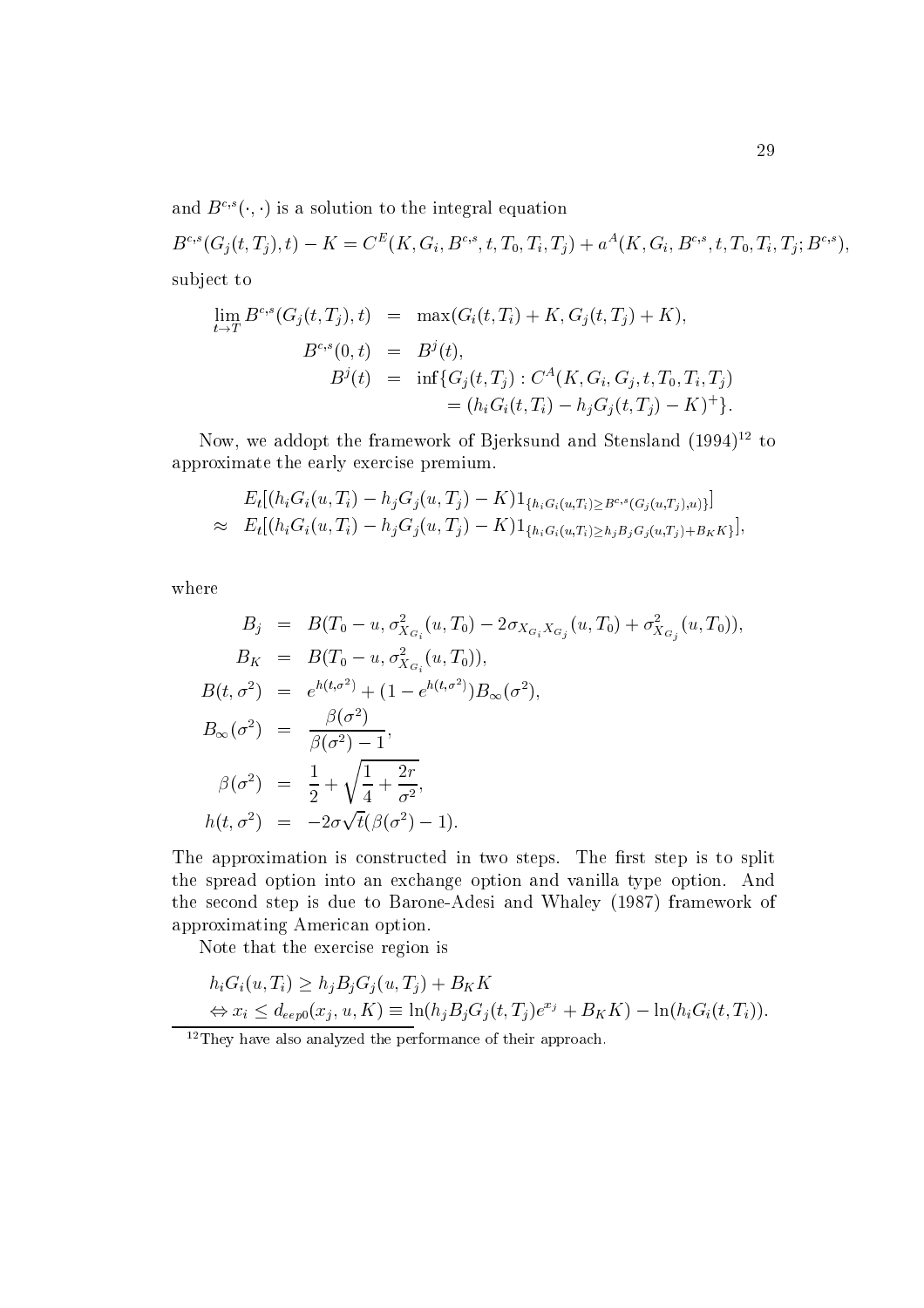and  $B^{c,s}(\cdot, \cdot)$  is a solution to the integral equation

 $B^{c,s}(G_j(t, T_j), t) - K = C<sup>E</sup>(K, G_i, B^{c,s}, t, T_0, T_i, T_j) + a<sup>A</sup>(K, G_i, B^{c,s}, t, T_0, T_i, T_j; B^{c,s}),$ subject to

$$
\lim_{t \to T} B^{c,s}(G_j(t, T_j), t) = \max(G_i(t, T_i) + K, G_j(t, T_j) + K),
$$
  
\n
$$
B^{c,s}(0, t) = B^j(t),
$$
  
\n
$$
B^j(t) = \inf \{ G_j(t, T_j) : C^A(K, G_i, G_j, t, T_0, T_i, T_j) \}
$$
  
\n
$$
= (h_i G_i(t, T_i) - h_j G_j(t, T_j) - K)^+ \}.
$$

Now, we addopt the framework of Bjerksund and Stensland  $(1994)^{12}$  to approximate the early exercise premium.

$$
E_t[(h_i G_i(u, T_i) - h_j G_j(u, T_j) - K)1_{\{h_i G_i(u, T_i) \geq B^{c,s}(G_j(u, T_j), u)\}}] \approx E_t[(h_i G_i(u, T_i) - h_j G_j(u, T_j) - K)1_{\{h_i G_i(u, T_i) \geq h_j B_j G_j(u, T_j) + B_K K\}}],
$$

where

$$
B_j = B(T_0 - u, \sigma_{X_{G_i}}^2(u, T_0) - 2\sigma_{X_{G_i}X_{G_j}}(u, T_0) + \sigma_{X_{G_j}}^2(u, T_0)),
$$
  
\n
$$
B_K = B(T_0 - u, \sigma_{X_{G_i}}^2(u, T_0)),
$$
  
\n
$$
B(t, \sigma^2) = e^{h(t, \sigma^2)} + (1 - e^{h(t, \sigma^2)})B_{\infty}(\sigma^2),
$$
  
\n
$$
B_{\infty}(\sigma^2) = \frac{\beta(\sigma^2)}{\beta(\sigma^2) - 1},
$$
  
\n
$$
\beta(\sigma^2) = \frac{1}{2} + \sqrt{\frac{1}{4} + \frac{2r}{\sigma^2}},
$$
  
\n
$$
h(t, \sigma^2) = -2\sigma\sqrt{t}(\beta(\sigma^2) - 1).
$$

The approximation is constructed in two steps. The first step is to split the spread option into an exchange option and vanilla type option. And the second step is due to Barone-Adesi and Whaley (1987) framework of approximating American option.

Note that the exercise region is

$$
h_i G_i(u, T_i) \ge h_j B_j G_j(u, T_j) + B_K K
$$
  
\n
$$
\Leftrightarrow x_i \le d_{eep0}(x_j, u, K) \equiv \ln(h_j B_j G_j(t, T_j) e^{x_j} + B_K K) - \ln(h_i G_i(t, T_i))
$$

 $^{12}{\rm They}$  have also analyzed the performance of their approach.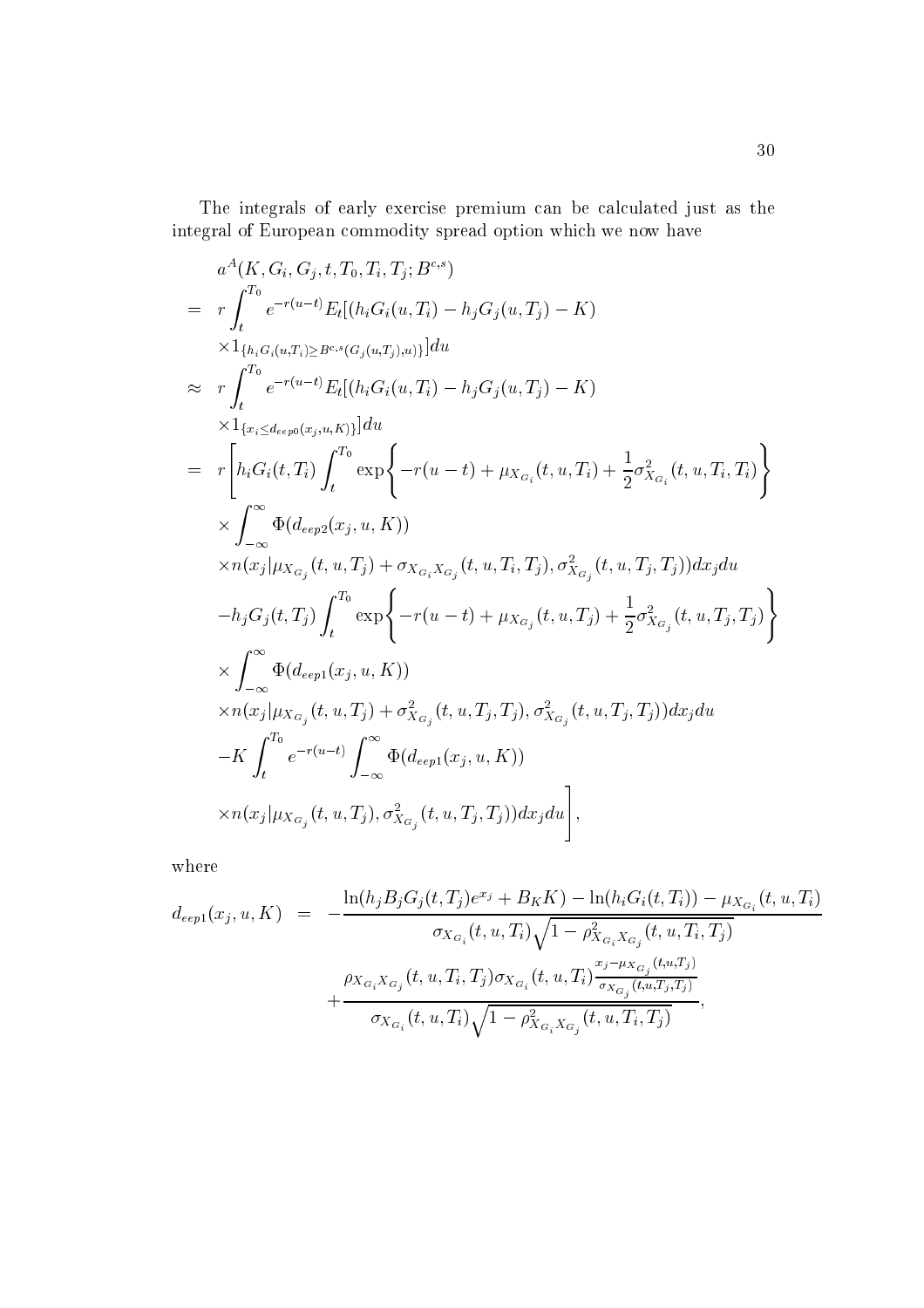The integrals of early exercise premium can be calculated just as the integral of European commodity spread option which we now have

$$
a^{A}(K, G_i, G_j, t, T_0, T_i, T_j; B^{c,s})
$$
\n
$$
= r \int_{t}^{T_0} e^{-r(u-t)} E_t[(h_i G_i(u, T_i) - h_j G_j(u, T_j) - K)
$$
\n
$$
\times 1_{\{h_i G_i(u, T_i) \ge B^{c,s}(G_j(u, T_j), u)\}}] du
$$
\n
$$
\approx r \int_{t}^{T_0} e^{-r(u-t)} E_t[(h_i G_i(u, T_i) - h_j G_j(u, T_j) - K)
$$
\n
$$
\times 1_{\{x_i \le d_{eep0}(x_j, u, K)\}}] du
$$
\n
$$
= r \left[ h_i G_i(t, T_i) \int_{t}^{T_0} \exp \left\{-r(u - t) + \mu_{X_{G_i}}(t, u, T_i) + \frac{1}{2} \sigma_{X_{G_i}}^2(t, u, T_i, T_i) \right\} \right]
$$
\n
$$
\times \int_{-\infty}^{\infty} \Phi(deep2(x_j, u, K))
$$
\n
$$
\times n(x_j | \mu_{X_{G_j}}(t, u, T_j) + \sigma_{X_{G_i} X_{G_j}}(t, u, T_i, T_j), \sigma_{X_{G_j}}^2(t, u, T_j, T_j)) dx_j du
$$
\n
$$
- h_j G_j(t, T_j) \int_{t}^{T_0} \exp \left\{-r(u - t) + \mu_{X_{G_j}}(t, u, T_j) + \frac{1}{2} \sigma_{X_{G_j}}^2(t, u, T_j, T_j) \right\}
$$
\n
$$
\times \int_{-\infty}^{\infty} \Phi(deep1(x_j, u, K))
$$
\n
$$
\times n(x_j | \mu_{X_{G_j}}(t, u, T_j) + \sigma_{X_{G_j}}^2(t, u, T_j, T_j), \sigma_{X_{G_j}}^2(t, u, T_j, T_j)) dx_j du
$$
\n
$$
-K \int_{t}^{T_0} e^{-r(u - t)} \int_{-\infty}^{\infty} \Phi(deep1(x_j, u, K))
$$
\n
$$
\times n(x_j | \mu_{X_{G_j}}(t, u, T_j), \sigma_{X_{G_j}}^2(t, u, T_j, T_j)) dx_j du
$$

where

$$
d_{eep1}(x_j, u, K) = -\frac{\ln(h_j B_j G_j(t, T_j)e^{x_j} + B_K K) - \ln(h_i G_i(t, T_i)) - \mu_{X_{G_i}}(t, u, T_i)}{\sigma_{X_{G_i}}(t, u, T_i) \sqrt{1 - \rho_{X_{G_i} X_{G_j}}^2(t, u, T_i, T_j)}}
$$

$$
+ \frac{\rho_{X_{G_i} X_{G_j}}(t, u, T_i, T_j) \sigma_{X_{G_i}}(t, u, T_i) \frac{x_j - \mu_{X_{G_j}}(t, u, T_j)}{\sigma_{X_{G_j}}(t, u, T_j, T_j)}}{\sigma_{X_{G_i}}(t, u, T_i) \sqrt{1 - \rho_{X_{G_i} X_{G_j}}^2(t, u, T_i, T_j)}},
$$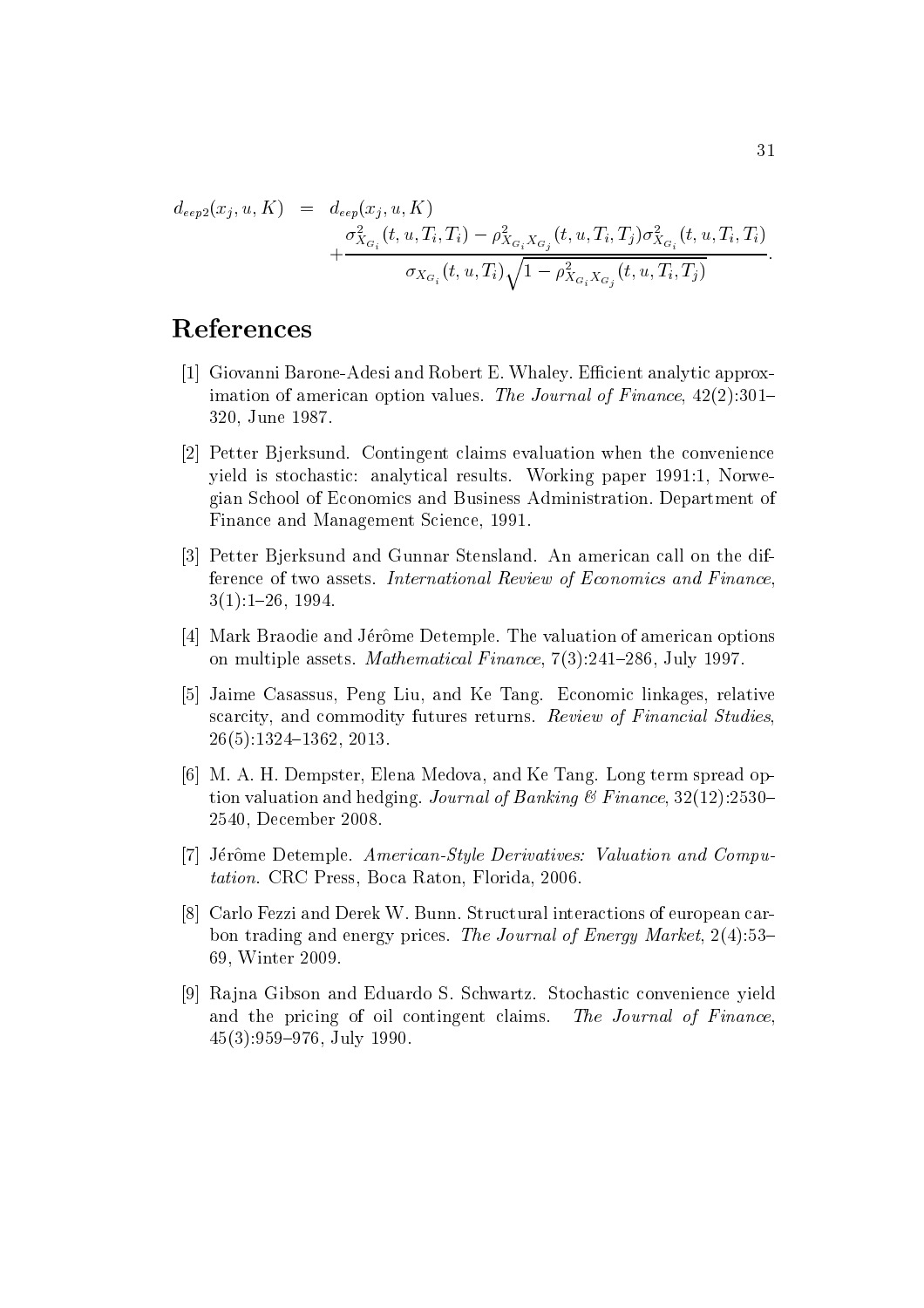$d_{eep2}(x_i, u, K) = d_{eep}(x_i, u, K)$  $+ \frac{\sigma^2_{X_{G_i}}(t,u,T_i,T_i)-\rho^2_{X_{G_i}X_{G_j}}(t,u,T_i,T_j)\sigma^2_{X_{G_i}}(t,u,T_i,T_i)}{\sigma_{X_{G_i}}(t,u,T_i)\sqrt{1-\rho^2_{X_{G_i}X_{G_j}}(t,u,T_i,T_j)}}.$ 

# References

- [1] Giovanni Barone-Adesi and Robert E. Whaley. Efficient analytic approximation of american option values. The Journal of Finance,  $42(2)$ :301– 320, June 1987.
- [2] Petter Bierksund. Contingent claims evaluation when the convenience yield is stochastic: analytical results. Working paper 1991:1, Norwegian School of Economics and Business Administration. Department of Finance and Management Science, 1991.
- [3] Petter Bjerksund and Gunnar Stensland. An american call on the difference of two assets. International Review of Economics and Finance  $3(1):1-26$ , 1994.
- [4] Mark Braodie and Jérôme Detemple. The valuation of american options on multiple assets. Mathematical Finance, 7(3):241-286, July 1997.
- [5] Jaime Casassus, Peng Liu, and Ke Tang. Economic linkages, relative scarcity, and commodity futures returns. Review of Financial Studies.  $26(5):1324-1362, 2013.$
- [6] M. A. H. Dempster, Elena Medova, and Ke Tang. Long term spread option valuation and hedging. Journal of Banking & Finance,  $32(12):2530-$ 2540, December 2008.
- [7] Jérôme Detemple. American-Style Derivatives: Valuation and Computation. CRC Press, Boca Raton, Florida, 2006.
- [8] Carlo Fezzi and Derek W. Bunn. Structural interactions of european carbon trading and energy prices. The Journal of Energy Market,  $2(4):53-$ 69. Winter 2009.
- [9] Rajna Gibson and Eduardo S. Schwartz. Stochastic convenience yield and the pricing of oil contingent claims. The Journal of Finance  $45(3):959-976$ , July 1990.